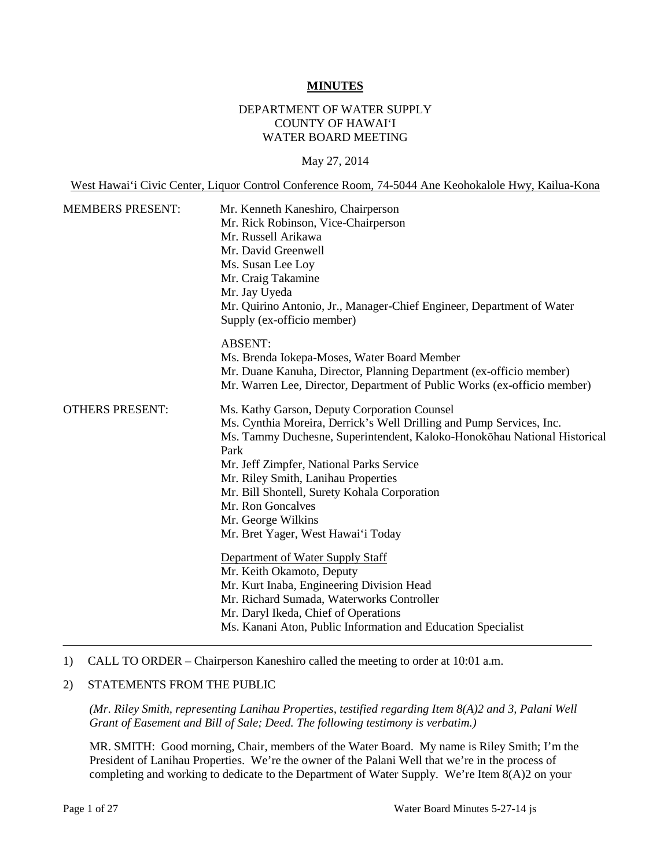#### **MINUTES**

## DEPARTMENT OF WATER SUPPLY COUNTY OF HAWAI'I WATER BOARD MEETING

#### May 27, 2014

West Hawai'i Civic Center, Liquor Control Conference Room, 74-5044 Ane Keohokalole Hwy, Kailua-Kona

| <b>MEMBERS PRESENT:</b> | Mr. Kenneth Kaneshiro, Chairperson<br>Mr. Rick Robinson, Vice-Chairperson<br>Mr. Russell Arikawa<br>Mr. David Greenwell<br>Ms. Susan Lee Loy<br>Mr. Craig Takamine<br>Mr. Jay Uyeda<br>Mr. Quirino Antonio, Jr., Manager-Chief Engineer, Department of Water<br>Supply (ex-officio member)                                                                                                                                   |
|-------------------------|------------------------------------------------------------------------------------------------------------------------------------------------------------------------------------------------------------------------------------------------------------------------------------------------------------------------------------------------------------------------------------------------------------------------------|
|                         | <b>ABSENT:</b><br>Ms. Brenda Jokepa-Moses, Water Board Member<br>Mr. Duane Kanuha, Director, Planning Department (ex-officio member)<br>Mr. Warren Lee, Director, Department of Public Works (ex-officio member)                                                                                                                                                                                                             |
| <b>OTHERS PRESENT:</b>  | Ms. Kathy Garson, Deputy Corporation Counsel<br>Ms. Cynthia Moreira, Derrick's Well Drilling and Pump Services, Inc.<br>Ms. Tammy Duchesne, Superintendent, Kaloko-Honokohau National Historical<br>Park<br>Mr. Jeff Zimpfer, National Parks Service<br>Mr. Riley Smith, Lanihau Properties<br>Mr. Bill Shontell, Surety Kohala Corporation<br>Mr. Ron Goncalves<br>Mr. George Wilkins<br>Mr. Bret Yager, West Hawai'i Today |
|                         | Department of Water Supply Staff<br>Mr. Keith Okamoto, Deputy<br>Mr. Kurt Inaba, Engineering Division Head<br>Mr. Richard Sumada, Waterworks Controller<br>Mr. Daryl Ikeda, Chief of Operations<br>Ms. Kanani Aton, Public Information and Education Specialist                                                                                                                                                              |

#### 1) CALL TO ORDER – Chairperson Kaneshiro called the meeting to order at 10:01 a.m.

#### 2) STATEMENTS FROM THE PUBLIC

*(Mr. Riley Smith, representing Lanihau Properties, testified regarding Item 8(A)2 and 3, Palani Well Grant of Easement and Bill of Sale; Deed. The following testimony is verbatim.)*

MR. SMITH: Good morning, Chair, members of the Water Board. My name is Riley Smith; I'm the President of Lanihau Properties. We're the owner of the Palani Well that we're in the process of completing and working to dedicate to the Department of Water Supply. We're Item 8(A)2 on your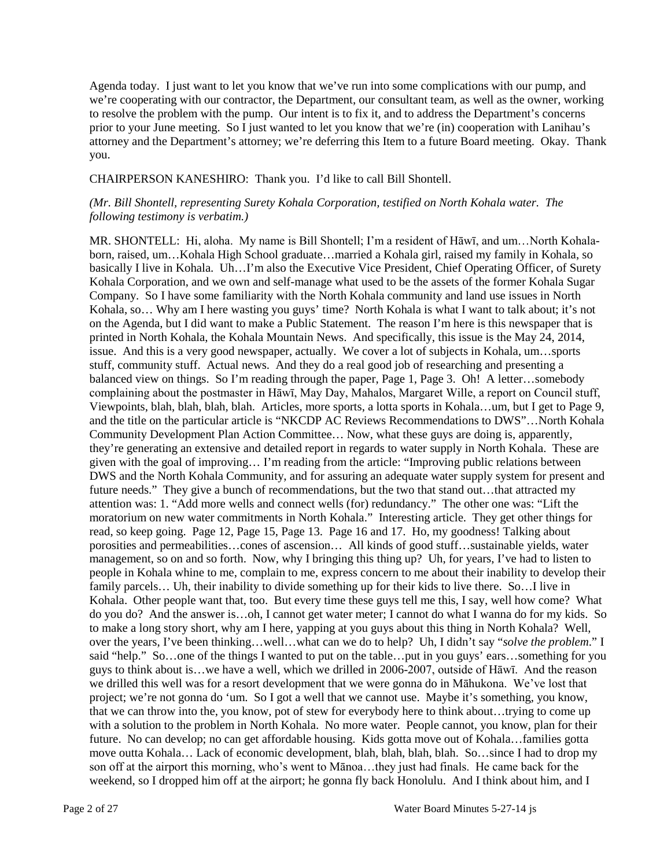Agenda today. I just want to let you know that we've run into some complications with our pump, and we're cooperating with our contractor, the Department, our consultant team, as well as the owner, working to resolve the problem with the pump. Our intent is to fix it, and to address the Department's concerns prior to your June meeting. So I just wanted to let you know that we're (in) cooperation with Lanihau's attorney and the Department's attorney; we're deferring this Item to a future Board meeting. Okay. Thank you.

#### CHAIRPERSON KANESHIRO: Thank you. I'd like to call Bill Shontell.

### *(Mr. Bill Shontell, representing Surety Kohala Corporation, testified on North Kohala water. The following testimony is verbatim.)*

MR. SHONTELL: Hi, aloha. My name is Bill Shontell; I'm a resident of Hāwī, and um…North Kohalaborn, raised, um…Kohala High School graduate…married a Kohala girl, raised my family in Kohala, so basically I live in Kohala. Uh…I'm also the Executive Vice President, Chief Operating Officer, of Surety Kohala Corporation, and we own and self-manage what used to be the assets of the former Kohala Sugar Company. So I have some familiarity with the North Kohala community and land use issues in North Kohala, so… Why am I here wasting you guys' time? North Kohala is what I want to talk about; it's not on the Agenda, but I did want to make a Public Statement. The reason I'm here is this newspaper that is printed in North Kohala, the Kohala Mountain News. And specifically, this issue is the May 24, 2014, issue. And this is a very good newspaper, actually. We cover a lot of subjects in Kohala, um…sports stuff, community stuff. Actual news. And they do a real good job of researching and presenting a balanced view on things. So I'm reading through the paper, Page 1, Page 3. Oh! A letter…somebody complaining about the postmaster in Hāwī, May Day, Mahalos, Margaret Wille, a report on Council stuff, Viewpoints, blah, blah, blah, blah. Articles, more sports, a lotta sports in Kohala…um, but I get to Page 9, and the title on the particular article is "NKCDP AC Reviews Recommendations to DWS"…North Kohala Community Development Plan Action Committee… Now, what these guys are doing is, apparently, they're generating an extensive and detailed report in regards to water supply in North Kohala. These are given with the goal of improving… I'm reading from the article: "Improving public relations between DWS and the North Kohala Community, and for assuring an adequate water supply system for present and future needs." They give a bunch of recommendations, but the two that stand out…that attracted my attention was: 1. "Add more wells and connect wells (for) redundancy." The other one was: "Lift the moratorium on new water commitments in North Kohala." Interesting article. They get other things for read, so keep going. Page 12, Page 15, Page 13. Page 16 and 17. Ho, my goodness! Talking about porosities and permeabilities…cones of ascension… All kinds of good stuff…sustainable yields, water management, so on and so forth. Now, why I bringing this thing up? Uh, for years, I've had to listen to people in Kohala whine to me, complain to me, express concern to me about their inability to develop their family parcels… Uh, their inability to divide something up for their kids to live there. So…I live in Kohala. Other people want that, too. But every time these guys tell me this, I say, well how come? What do you do? And the answer is…oh, I cannot get water meter; I cannot do what I wanna do for my kids. So to make a long story short, why am I here, yapping at you guys about this thing in North Kohala? Well, over the years, I've been thinking…well…what can we do to help? Uh, I didn't say "*solve the problem*." I said "help." So...one of the things I wanted to put on the table...put in you guys' ears...something for you guys to think about is…we have a well, which we drilled in 2006-2007, outside of Hāwī. And the reason we drilled this well was for a resort development that we were gonna do in Māhukona. We've lost that project; we're not gonna do 'um. So I got a well that we cannot use. Maybe it's something, you know, that we can throw into the, you know, pot of stew for everybody here to think about…trying to come up with a solution to the problem in North Kohala. No more water. People cannot, you know, plan for their future. No can develop; no can get affordable housing. Kids gotta move out of Kohala…families gotta move outta Kohala… Lack of economic development, blah, blah, blah, blah. So…since I had to drop my son off at the airport this morning, who's went to Mānoa…they just had finals. He came back for the weekend, so I dropped him off at the airport; he gonna fly back Honolulu. And I think about him, and I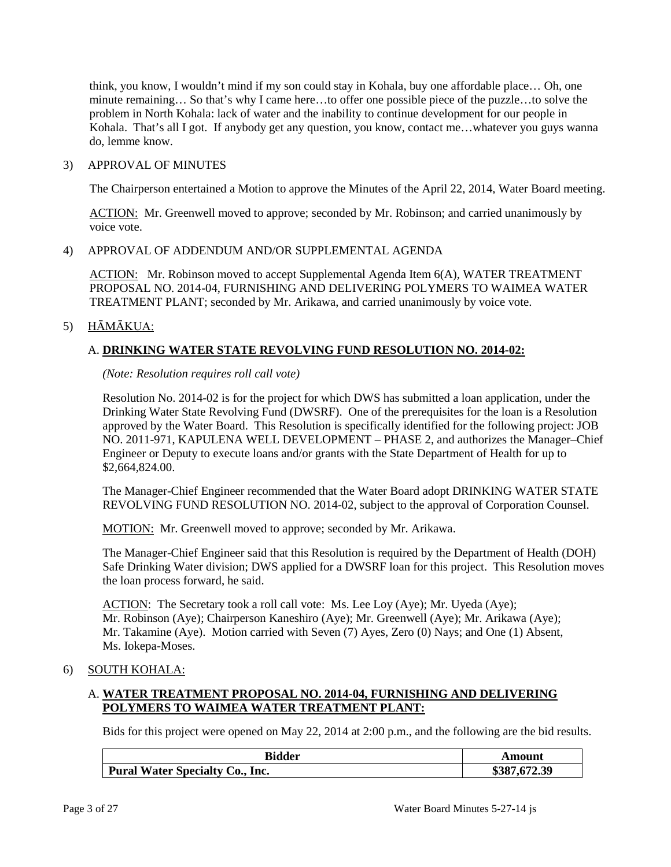think, you know, I wouldn't mind if my son could stay in Kohala, buy one affordable place… Oh, one minute remaining… So that's why I came here…to offer one possible piece of the puzzle…to solve the problem in North Kohala: lack of water and the inability to continue development for our people in Kohala. That's all I got. If anybody get any question, you know, contact me…whatever you guys wanna do, lemme know.

### 3) APPROVAL OF MINUTES

The Chairperson entertained a Motion to approve the Minutes of the April 22, 2014, Water Board meeting.

ACTION: Mr. Greenwell moved to approve; seconded by Mr. Robinson; and carried unanimously by voice vote.

# 4) APPROVAL OF ADDENDUM AND/OR SUPPLEMENTAL AGENDA

ACTION: Mr. Robinson moved to accept Supplemental Agenda Item 6(A), WATER TREATMENT PROPOSAL NO. 2014-04, FURNISHING AND DELIVERING POLYMERS TO WAIMEA WATER TREATMENT PLANT; seconded by Mr. Arikawa, and carried unanimously by voice vote.

# 5) HĀMĀKUA:

# A. **DRINKING WATER STATE REVOLVING FUND RESOLUTION NO. 2014-02:**

### *(Note: Resolution requires roll call vote)*

Resolution No. 2014-02 is for the project for which DWS has submitted a loan application, under the Drinking Water State Revolving Fund (DWSRF). One of the prerequisites for the loan is a Resolution approved by the Water Board. This Resolution is specifically identified for the following project: JOB NO. 2011-971, KAPULENA WELL DEVELOPMENT – PHASE 2, and authorizes the Manager–Chief Engineer or Deputy to execute loans and/or grants with the State Department of Health for up to \$2,664,824.00.

The Manager-Chief Engineer recommended that the Water Board adopt DRINKING WATER STATE REVOLVING FUND RESOLUTION NO. 2014-02, subject to the approval of Corporation Counsel.

MOTION: Mr. Greenwell moved to approve; seconded by Mr. Arikawa.

The Manager-Chief Engineer said that this Resolution is required by the Department of Health (DOH) Safe Drinking Water division; DWS applied for a DWSRF loan for this project. This Resolution moves the loan process forward, he said.

ACTION: The Secretary took a roll call vote: Ms. Lee Loy (Aye); Mr. Uyeda (Aye); Mr. Robinson (Aye); Chairperson Kaneshiro (Aye); Mr. Greenwell (Aye); Mr. Arikawa (Aye); Mr. Takamine (Aye). Motion carried with Seven (7) Ayes, Zero (0) Nays; and One (1) Absent, Ms. Iokepa-Moses.

# 6) SOUTH KOHALA:

# A. **WATER TREATMENT PROPOSAL NO. 2014-04, FURNISHING AND DELIVERING POLYMERS TO WAIMEA WATER TREATMENT PLANT:**

Bids for this project were opened on May 22, 2014 at 2:00 p.m., and the following are the bid results.

| <b>Bidder</b>                          | Amount       |
|----------------------------------------|--------------|
| <b>Pural Water Specialty Co., Inc.</b> | \$387,672.39 |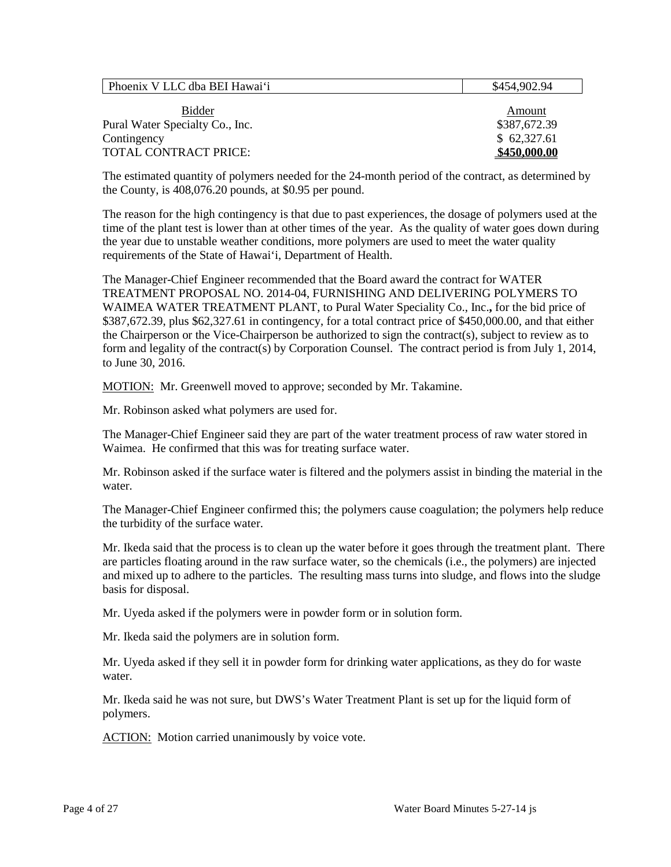| Phoenix V LLC dba BEI Hawai'i   | \$454,902.94 |
|---------------------------------|--------------|
| Bidder                          | Amount       |
| Pural Water Specialty Co., Inc. | \$387,672.39 |
| Contingency                     | \$62,327.61  |
| <b>TOTAL CONTRACT PRICE:</b>    | \$450,000.00 |

The estimated quantity of polymers needed for the 24-month period of the contract, as determined by the County, is 408,076.20 pounds, at \$0.95 per pound.

The reason for the high contingency is that due to past experiences, the dosage of polymers used at the time of the plant test is lower than at other times of the year. As the quality of water goes down during the year due to unstable weather conditions, more polymers are used to meet the water quality requirements of the State of Hawai'i, Department of Health.

The Manager-Chief Engineer recommended that the Board award the contract for WATER TREATMENT PROPOSAL NO. 2014-04, FURNISHING AND DELIVERING POLYMERS TO WAIMEA WATER TREATMENT PLANT, to Pural Water Speciality Co., Inc.**,** for the bid price of \$387,672.39, plus \$62,327.61 in contingency, for a total contract price of \$450,000.00, and that either the Chairperson or the Vice-Chairperson be authorized to sign the contract(s), subject to review as to form and legality of the contract(s) by Corporation Counsel. The contract period is from July 1, 2014, to June 30, 2016.

MOTION: Mr. Greenwell moved to approve; seconded by Mr. Takamine.

Mr. Robinson asked what polymers are used for.

The Manager-Chief Engineer said they are part of the water treatment process of raw water stored in Waimea. He confirmed that this was for treating surface water.

Mr. Robinson asked if the surface water is filtered and the polymers assist in binding the material in the water.

The Manager-Chief Engineer confirmed this; the polymers cause coagulation; the polymers help reduce the turbidity of the surface water.

Mr. Ikeda said that the process is to clean up the water before it goes through the treatment plant. There are particles floating around in the raw surface water, so the chemicals (i.e., the polymers) are injected and mixed up to adhere to the particles. The resulting mass turns into sludge, and flows into the sludge basis for disposal.

Mr. Uyeda asked if the polymers were in powder form or in solution form.

Mr. Ikeda said the polymers are in solution form.

Mr. Uyeda asked if they sell it in powder form for drinking water applications, as they do for waste water.

Mr. Ikeda said he was not sure, but DWS's Water Treatment Plant is set up for the liquid form of polymers.

ACTION: Motion carried unanimously by voice vote.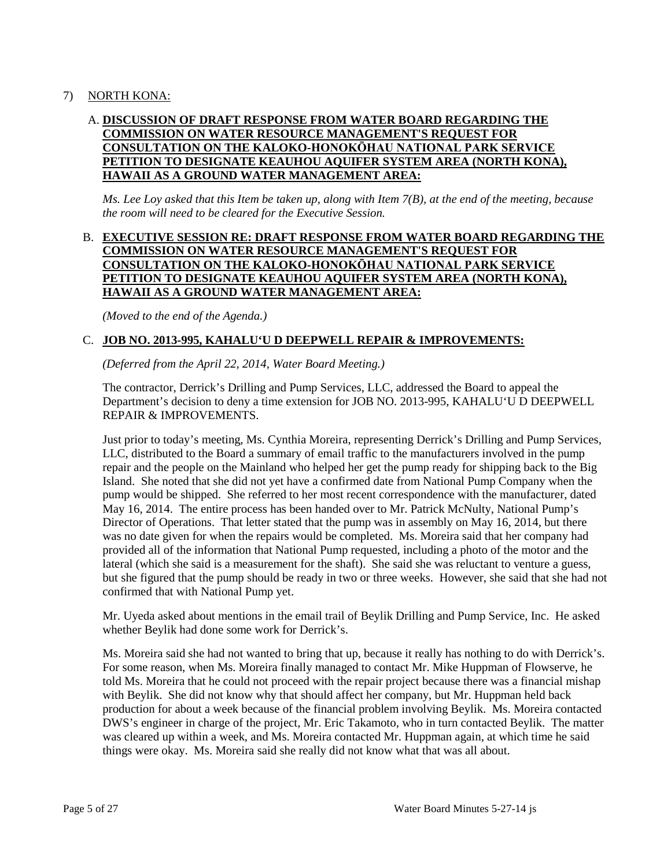# 7) NORTH KONA:

# A. **DISCUSSION OF DRAFT RESPONSE FROM WATER BOARD REGARDING THE COMMISSION ON WATER RESOURCE MANAGEMENT'S REQUEST FOR CONSULTATION ON THE KALOKO-HONOKŌHAU NATIONAL PARK SERVICE PETITION TO DESIGNATE KEAUHOU AQUIFER SYSTEM AREA (NORTH KONA), HAWAII AS A GROUND WATER MANAGEMENT AREA:**

*Ms. Lee Loy asked that this Item be taken up, along with Item 7(B), at the end of the meeting, because the room will need to be cleared for the Executive Session.*

## B. **EXECUTIVE SESSION RE: DRAFT RESPONSE FROM WATER BOARD REGARDING THE COMMISSION ON WATER RESOURCE MANAGEMENT'S REQUEST FOR CONSULTATION ON THE KALOKO-HONOKŌHAU NATIONAL PARK SERVICE PETITION TO DESIGNATE KEAUHOU AQUIFER SYSTEM AREA (NORTH KONA), HAWAII AS A GROUND WATER MANAGEMENT AREA:**

*(Moved to the end of the Agenda.)*

## C. **JOB NO. 2013-995, KAHALU'U D DEEPWELL REPAIR & IMPROVEMENTS:**

*(Deferred from the April 22, 2014, Water Board Meeting.)*

The contractor, Derrick's Drilling and Pump Services, LLC, addressed the Board to appeal the Department's decision to deny a time extension for JOB NO. 2013-995, KAHALU'U D DEEPWELL REPAIR & IMPROVEMENTS.

Just prior to today's meeting, Ms. Cynthia Moreira, representing Derrick's Drilling and Pump Services, LLC, distributed to the Board a summary of email traffic to the manufacturers involved in the pump repair and the people on the Mainland who helped her get the pump ready for shipping back to the Big Island. She noted that she did not yet have a confirmed date from National Pump Company when the pump would be shipped. She referred to her most recent correspondence with the manufacturer, dated May 16, 2014. The entire process has been handed over to Mr. Patrick McNulty, National Pump's Director of Operations. That letter stated that the pump was in assembly on May 16, 2014, but there was no date given for when the repairs would be completed. Ms. Moreira said that her company had provided all of the information that National Pump requested, including a photo of the motor and the lateral (which she said is a measurement for the shaft). She said she was reluctant to venture a guess, but she figured that the pump should be ready in two or three weeks. However, she said that she had not confirmed that with National Pump yet.

Mr. Uyeda asked about mentions in the email trail of Beylik Drilling and Pump Service, Inc. He asked whether Beylik had done some work for Derrick's.

Ms. Moreira said she had not wanted to bring that up, because it really has nothing to do with Derrick's. For some reason, when Ms. Moreira finally managed to contact Mr. Mike Huppman of Flowserve, he told Ms. Moreira that he could not proceed with the repair project because there was a financial mishap with Beylik. She did not know why that should affect her company, but Mr. Huppman held back production for about a week because of the financial problem involving Beylik. Ms. Moreira contacted DWS's engineer in charge of the project, Mr. Eric Takamoto, who in turn contacted Beylik. The matter was cleared up within a week, and Ms. Moreira contacted Mr. Huppman again, at which time he said things were okay. Ms. Moreira said she really did not know what that was all about.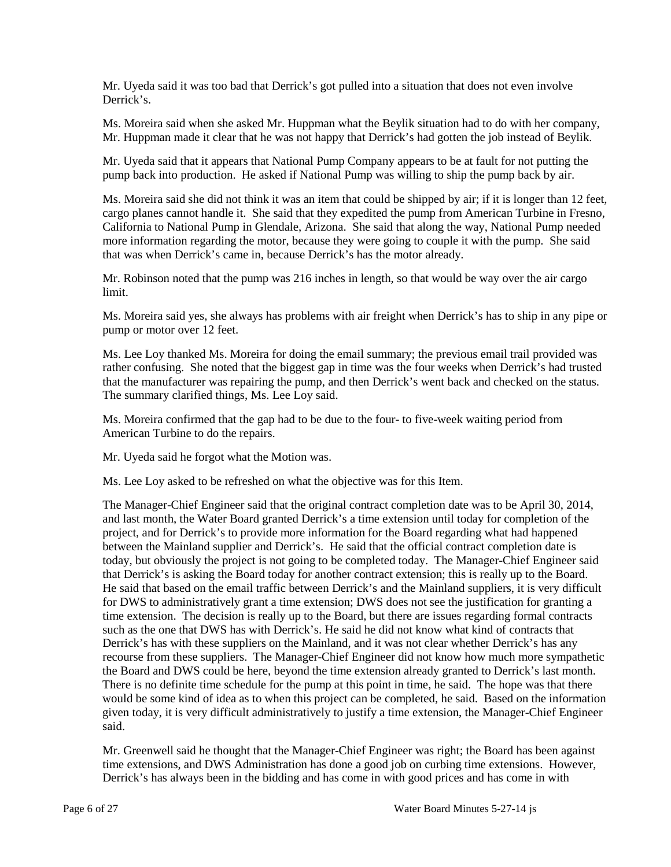Mr. Uyeda said it was too bad that Derrick's got pulled into a situation that does not even involve Derrick's.

Ms. Moreira said when she asked Mr. Huppman what the Beylik situation had to do with her company, Mr. Huppman made it clear that he was not happy that Derrick's had gotten the job instead of Beylik.

Mr. Uyeda said that it appears that National Pump Company appears to be at fault for not putting the pump back into production. He asked if National Pump was willing to ship the pump back by air.

Ms. Moreira said she did not think it was an item that could be shipped by air; if it is longer than 12 feet, cargo planes cannot handle it. She said that they expedited the pump from American Turbine in Fresno, California to National Pump in Glendale, Arizona. She said that along the way, National Pump needed more information regarding the motor, because they were going to couple it with the pump. She said that was when Derrick's came in, because Derrick's has the motor already.

Mr. Robinson noted that the pump was 216 inches in length, so that would be way over the air cargo limit.

Ms. Moreira said yes, she always has problems with air freight when Derrick's has to ship in any pipe or pump or motor over 12 feet.

Ms. Lee Loy thanked Ms. Moreira for doing the email summary; the previous email trail provided was rather confusing. She noted that the biggest gap in time was the four weeks when Derrick's had trusted that the manufacturer was repairing the pump, and then Derrick's went back and checked on the status. The summary clarified things, Ms. Lee Loy said.

Ms. Moreira confirmed that the gap had to be due to the four- to five-week waiting period from American Turbine to do the repairs.

Mr. Uyeda said he forgot what the Motion was.

Ms. Lee Loy asked to be refreshed on what the objective was for this Item.

The Manager-Chief Engineer said that the original contract completion date was to be April 30, 2014, and last month, the Water Board granted Derrick's a time extension until today for completion of the project, and for Derrick's to provide more information for the Board regarding what had happened between the Mainland supplier and Derrick's. He said that the official contract completion date is today, but obviously the project is not going to be completed today. The Manager-Chief Engineer said that Derrick's is asking the Board today for another contract extension; this is really up to the Board. He said that based on the email traffic between Derrick's and the Mainland suppliers, it is very difficult for DWS to administratively grant a time extension; DWS does not see the justification for granting a time extension. The decision is really up to the Board, but there are issues regarding formal contracts such as the one that DWS has with Derrick's. He said he did not know what kind of contracts that Derrick's has with these suppliers on the Mainland, and it was not clear whether Derrick's has any recourse from these suppliers. The Manager-Chief Engineer did not know how much more sympathetic the Board and DWS could be here, beyond the time extension already granted to Derrick's last month. There is no definite time schedule for the pump at this point in time, he said. The hope was that there would be some kind of idea as to when this project can be completed, he said. Based on the information given today, it is very difficult administratively to justify a time extension, the Manager-Chief Engineer said.

Mr. Greenwell said he thought that the Manager-Chief Engineer was right; the Board has been against time extensions, and DWS Administration has done a good job on curbing time extensions. However, Derrick's has always been in the bidding and has come in with good prices and has come in with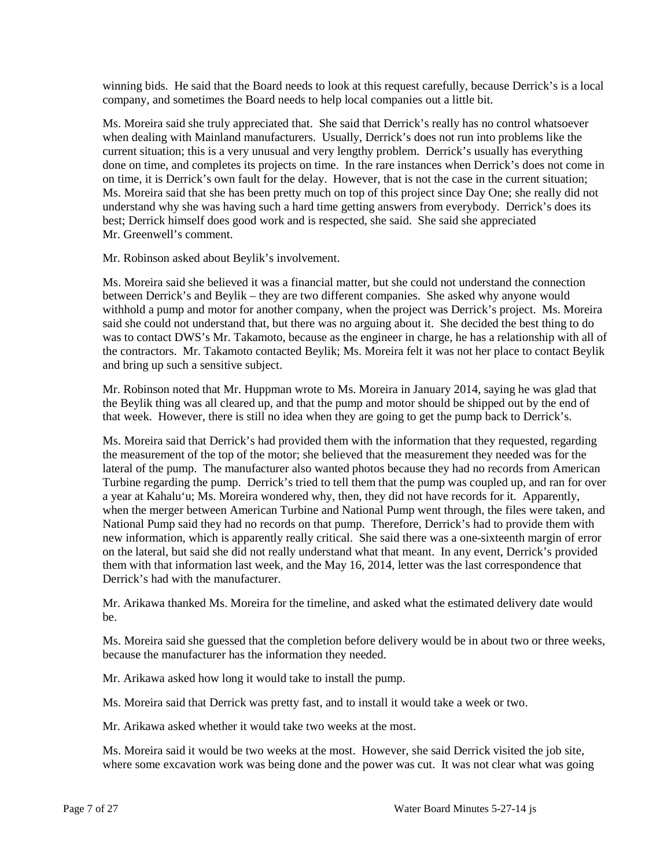winning bids. He said that the Board needs to look at this request carefully, because Derrick's is a local company, and sometimes the Board needs to help local companies out a little bit.

Ms. Moreira said she truly appreciated that. She said that Derrick's really has no control whatsoever when dealing with Mainland manufacturers. Usually, Derrick's does not run into problems like the current situation; this is a very unusual and very lengthy problem. Derrick's usually has everything done on time, and completes its projects on time. In the rare instances when Derrick's does not come in on time, it is Derrick's own fault for the delay. However, that is not the case in the current situation; Ms. Moreira said that she has been pretty much on top of this project since Day One; she really did not understand why she was having such a hard time getting answers from everybody. Derrick's does its best; Derrick himself does good work and is respected, she said. She said she appreciated Mr. Greenwell's comment.

Mr. Robinson asked about Beylik's involvement.

Ms. Moreira said she believed it was a financial matter, but she could not understand the connection between Derrick's and Beylik – they are two different companies. She asked why anyone would withhold a pump and motor for another company, when the project was Derrick's project. Ms. Moreira said she could not understand that, but there was no arguing about it. She decided the best thing to do was to contact DWS's Mr. Takamoto, because as the engineer in charge, he has a relationship with all of the contractors. Mr. Takamoto contacted Beylik; Ms. Moreira felt it was not her place to contact Beylik and bring up such a sensitive subject.

Mr. Robinson noted that Mr. Huppman wrote to Ms. Moreira in January 2014, saying he was glad that the Beylik thing was all cleared up, and that the pump and motor should be shipped out by the end of that week. However, there is still no idea when they are going to get the pump back to Derrick's.

Ms. Moreira said that Derrick's had provided them with the information that they requested, regarding the measurement of the top of the motor; she believed that the measurement they needed was for the lateral of the pump. The manufacturer also wanted photos because they had no records from American Turbine regarding the pump. Derrick's tried to tell them that the pump was coupled up, and ran for over a year at Kahalu'u; Ms. Moreira wondered why, then, they did not have records for it. Apparently, when the merger between American Turbine and National Pump went through, the files were taken, and National Pump said they had no records on that pump. Therefore, Derrick's had to provide them with new information, which is apparently really critical. She said there was a one-sixteenth margin of error on the lateral, but said she did not really understand what that meant. In any event, Derrick's provided them with that information last week, and the May 16, 2014, letter was the last correspondence that Derrick's had with the manufacturer.

Mr. Arikawa thanked Ms. Moreira for the timeline, and asked what the estimated delivery date would be.

Ms. Moreira said she guessed that the completion before delivery would be in about two or three weeks, because the manufacturer has the information they needed.

Mr. Arikawa asked how long it would take to install the pump.

Ms. Moreira said that Derrick was pretty fast, and to install it would take a week or two.

Mr. Arikawa asked whether it would take two weeks at the most.

Ms. Moreira said it would be two weeks at the most. However, she said Derrick visited the job site, where some excavation work was being done and the power was cut. It was not clear what was going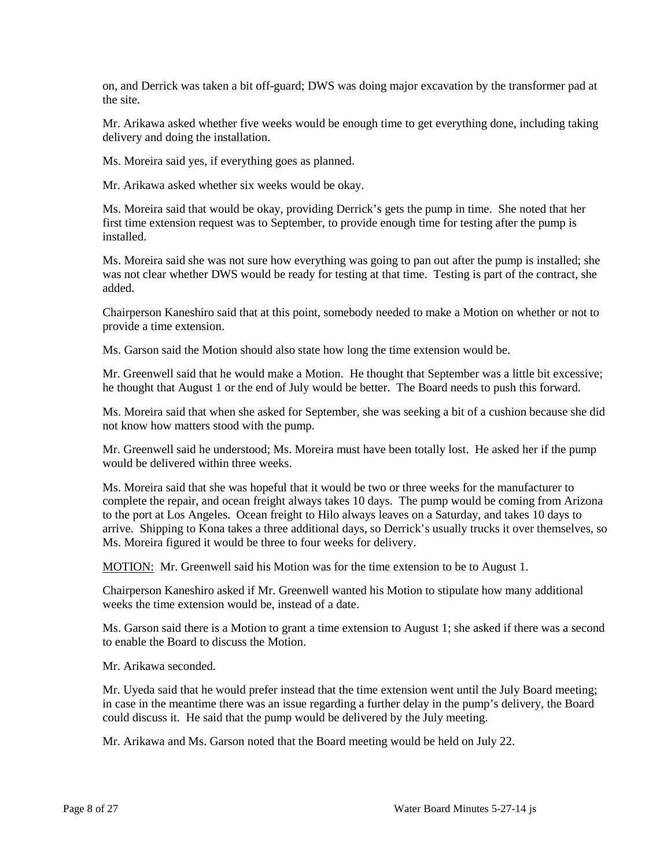on, and Derrick was taken a bit off-guard; DWS was doing major excavation by the transformer pad at the site.

Mr. Arikawa asked whether five weeks would be enough time to get everything done, including taking delivery and doing the installation.

Ms. Moreira said yes, if everything goes as planned.

Mr. Arikawa asked whether six weeks would be okay.

Ms. Moreira said that would be okay, providing Derrick's gets the pump in time. She noted that her first time extension request was to September, to provide enough time for testing after the pump is installed.

Ms. Moreira said she was not sure how everything was going to pan out after the pump is installed; she was not clear whether DWS would be ready for testing at that time. Testing is part of the contract, she added.

Chairperson Kaneshiro said that at this point, somebody needed to make a Motion on whether or not to provide a time extension.

Ms. Garson said the Motion should also state how long the time extension would be.

Mr. Greenwell said that he would make a Motion. He thought that September was a little bit excessive; he thought that August 1 or the end of July would be better. The Board needs to push this forward.

Ms. Moreira said that when she asked for September, she was seeking a bit of a cushion because she did not know how matters stood with the pump.

Mr. Greenwell said he understood; Ms. Moreira must have been totally lost. He asked her if the pump would be delivered within three weeks.

Ms. Moreira said that she was hopeful that it would be two or three weeks for the manufacturer to complete the repair, and ocean freight always takes 10 days. The pump would be coming from Arizona to the port at Los Angeles. Ocean freight to Hilo always leaves on a Saturday, and takes 10 days to arrive. Shipping to Kona takes a three additional days, so Derrick's usually trucks it over themselves, so Ms. Moreira figured it would be three to four weeks for delivery.

MOTION: Mr. Greenwell said his Motion was for the time extension to be to August 1.

Chairperson Kaneshiro asked if Mr. Greenwell wanted his Motion to stipulate how many additional weeks the time extension would be, instead of a date.

Ms. Garson said there is a Motion to grant a time extension to August 1; she asked if there was a second to enable the Board to discuss the Motion.

Mr. Arikawa seconded.

Mr. Uyeda said that he would prefer instead that the time extension went until the July Board meeting; in case in the meantime there was an issue regarding a further delay in the pump's delivery, the Board could discuss it. He said that the pump would be delivered by the July meeting.

Mr. Arikawa and Ms. Garson noted that the Board meeting would be held on July 22.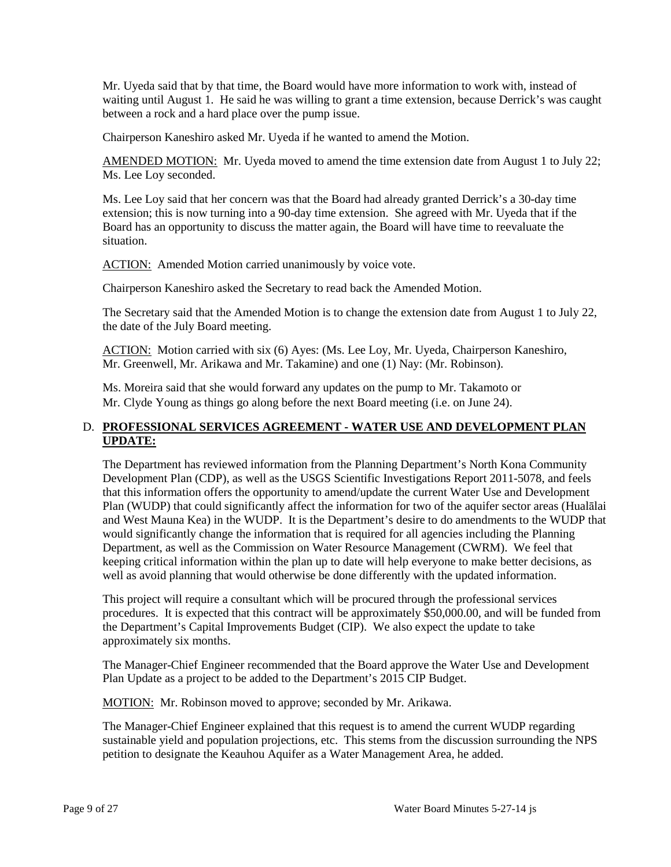Mr. Uyeda said that by that time, the Board would have more information to work with, instead of waiting until August 1. He said he was willing to grant a time extension, because Derrick's was caught between a rock and a hard place over the pump issue.

Chairperson Kaneshiro asked Mr. Uyeda if he wanted to amend the Motion.

AMENDED MOTION: Mr. Uyeda moved to amend the time extension date from August 1 to July 22; Ms. Lee Loy seconded.

Ms. Lee Loy said that her concern was that the Board had already granted Derrick's a 30-day time extension; this is now turning into a 90-day time extension. She agreed with Mr. Uyeda that if the Board has an opportunity to discuss the matter again, the Board will have time to reevaluate the situation.

ACTION: Amended Motion carried unanimously by voice vote.

Chairperson Kaneshiro asked the Secretary to read back the Amended Motion.

The Secretary said that the Amended Motion is to change the extension date from August 1 to July 22, the date of the July Board meeting.

ACTION: Motion carried with six (6) Ayes: (Ms. Lee Loy, Mr. Uyeda, Chairperson Kaneshiro, Mr. Greenwell, Mr. Arikawa and Mr. Takamine) and one (1) Nay: (Mr. Robinson).

Ms. Moreira said that she would forward any updates on the pump to Mr. Takamoto or Mr. Clyde Young as things go along before the next Board meeting (i.e. on June 24).

# D. **PROFESSIONAL SERVICES AGREEMENT - WATER USE AND DEVELOPMENT PLAN UPDATE:**

The Department has reviewed information from the Planning Department's North Kona Community Development Plan (CDP), as well as the USGS Scientific Investigations Report 2011-5078, and feels that this information offers the opportunity to amend/update the current Water Use and Development Plan (WUDP) that could significantly affect the information for two of the aquifer sector areas (Hualālai and West Mauna Kea) in the WUDP. It is the Department's desire to do amendments to the WUDP that would significantly change the information that is required for all agencies including the Planning Department, as well as the Commission on Water Resource Management (CWRM). We feel that keeping critical information within the plan up to date will help everyone to make better decisions, as well as avoid planning that would otherwise be done differently with the updated information.

This project will require a consultant which will be procured through the professional services procedures. It is expected that this contract will be approximately \$50,000.00, and will be funded from the Department's Capital Improvements Budget (CIP). We also expect the update to take approximately six months.

The Manager-Chief Engineer recommended that the Board approve the Water Use and Development Plan Update as a project to be added to the Department's 2015 CIP Budget.

MOTION: Mr. Robinson moved to approve; seconded by Mr. Arikawa.

The Manager-Chief Engineer explained that this request is to amend the current WUDP regarding sustainable yield and population projections, etc. This stems from the discussion surrounding the NPS petition to designate the Keauhou Aquifer as a Water Management Area, he added.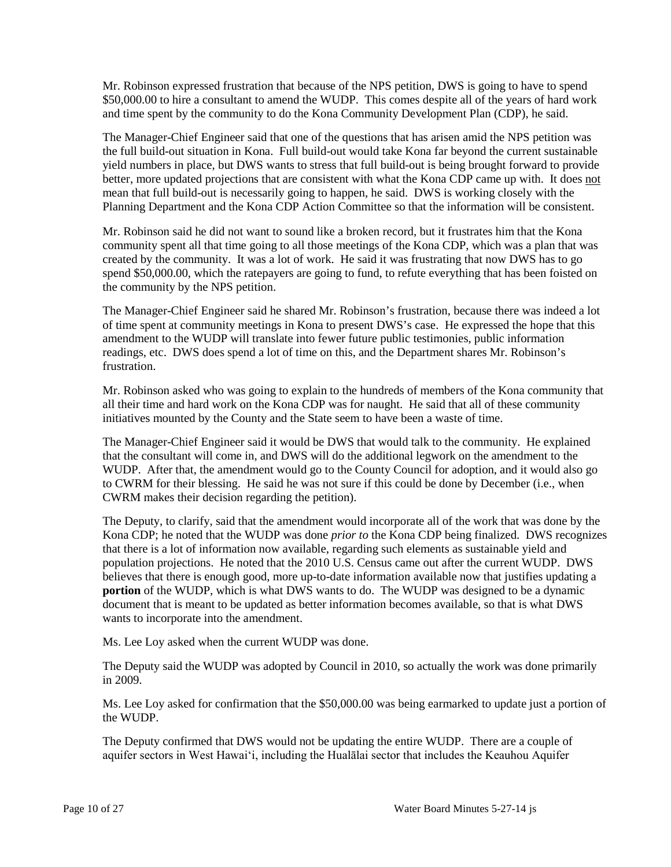Mr. Robinson expressed frustration that because of the NPS petition, DWS is going to have to spend \$50,000.00 to hire a consultant to amend the WUDP. This comes despite all of the years of hard work and time spent by the community to do the Kona Community Development Plan (CDP), he said.

The Manager-Chief Engineer said that one of the questions that has arisen amid the NPS petition was the full build-out situation in Kona. Full build-out would take Kona far beyond the current sustainable yield numbers in place, but DWS wants to stress that full build-out is being brought forward to provide better, more updated projections that are consistent with what the Kona CDP came up with. It does not mean that full build-out is necessarily going to happen, he said. DWS is working closely with the Planning Department and the Kona CDP Action Committee so that the information will be consistent.

Mr. Robinson said he did not want to sound like a broken record, but it frustrates him that the Kona community spent all that time going to all those meetings of the Kona CDP, which was a plan that was created by the community. It was a lot of work. He said it was frustrating that now DWS has to go spend \$50,000.00, which the ratepayers are going to fund, to refute everything that has been foisted on the community by the NPS petition.

The Manager-Chief Engineer said he shared Mr. Robinson's frustration, because there was indeed a lot of time spent at community meetings in Kona to present DWS's case. He expressed the hope that this amendment to the WUDP will translate into fewer future public testimonies, public information readings, etc. DWS does spend a lot of time on this, and the Department shares Mr. Robinson's frustration.

Mr. Robinson asked who was going to explain to the hundreds of members of the Kona community that all their time and hard work on the Kona CDP was for naught. He said that all of these community initiatives mounted by the County and the State seem to have been a waste of time.

The Manager-Chief Engineer said it would be DWS that would talk to the community. He explained that the consultant will come in, and DWS will do the additional legwork on the amendment to the WUDP. After that, the amendment would go to the County Council for adoption, and it would also go to CWRM for their blessing. He said he was not sure if this could be done by December (i.e., when CWRM makes their decision regarding the petition).

The Deputy, to clarify, said that the amendment would incorporate all of the work that was done by the Kona CDP; he noted that the WUDP was done *prior to* the Kona CDP being finalized. DWS recognizes that there is a lot of information now available, regarding such elements as sustainable yield and population projections. He noted that the 2010 U.S. Census came out after the current WUDP. DWS believes that there is enough good, more up-to-date information available now that justifies updating a **portion** of the WUDP, which is what DWS wants to do. The WUDP was designed to be a dynamic document that is meant to be updated as better information becomes available, so that is what DWS wants to incorporate into the amendment.

Ms. Lee Loy asked when the current WUDP was done.

The Deputy said the WUDP was adopted by Council in 2010, so actually the work was done primarily in 2009.

Ms. Lee Loy asked for confirmation that the \$50,000.00 was being earmarked to update just a portion of the WUDP.

The Deputy confirmed that DWS would not be updating the entire WUDP. There are a couple of aquifer sectors in West Hawai'i, including the Hualālai sector that includes the Keauhou Aquifer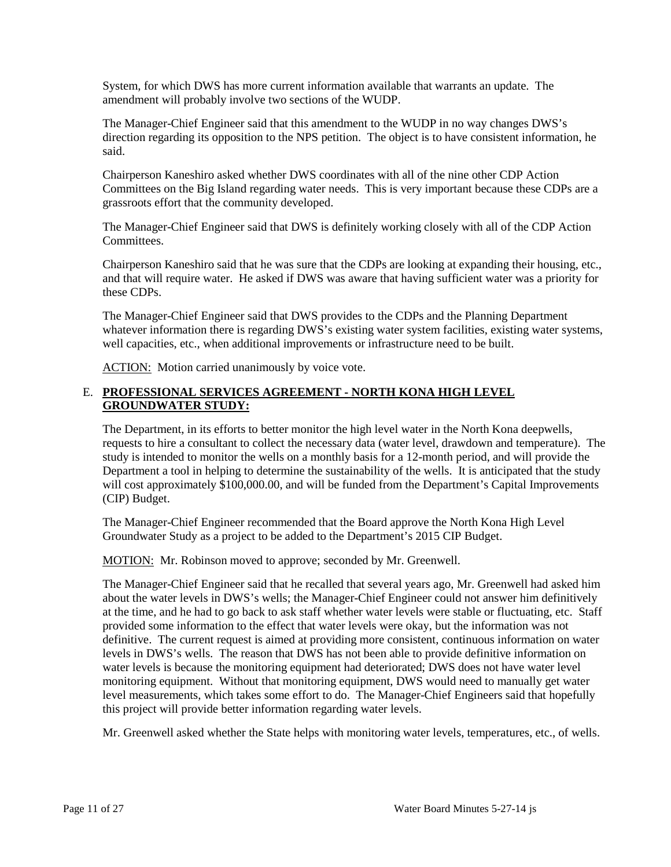System, for which DWS has more current information available that warrants an update. The amendment will probably involve two sections of the WUDP.

The Manager-Chief Engineer said that this amendment to the WUDP in no way changes DWS's direction regarding its opposition to the NPS petition. The object is to have consistent information, he said.

Chairperson Kaneshiro asked whether DWS coordinates with all of the nine other CDP Action Committees on the Big Island regarding water needs. This is very important because these CDPs are a grassroots effort that the community developed.

The Manager-Chief Engineer said that DWS is definitely working closely with all of the CDP Action Committees.

Chairperson Kaneshiro said that he was sure that the CDPs are looking at expanding their housing, etc., and that will require water. He asked if DWS was aware that having sufficient water was a priority for these CDPs.

The Manager-Chief Engineer said that DWS provides to the CDPs and the Planning Department whatever information there is regarding DWS's existing water system facilities, existing water systems, well capacities, etc., when additional improvements or infrastructure need to be built.

ACTION: Motion carried unanimously by voice vote.

# E. **PROFESSIONAL SERVICES AGREEMENT - NORTH KONA HIGH LEVEL GROUNDWATER STUDY:**

The Department, in its efforts to better monitor the high level water in the North Kona deepwells, requests to hire a consultant to collect the necessary data (water level, drawdown and temperature). The study is intended to monitor the wells on a monthly basis for a 12-month period, and will provide the Department a tool in helping to determine the sustainability of the wells. It is anticipated that the study will cost approximately \$100,000.00, and will be funded from the Department's Capital Improvements (CIP) Budget.

The Manager-Chief Engineer recommended that the Board approve the North Kona High Level Groundwater Study as a project to be added to the Department's 2015 CIP Budget.

MOTION: Mr. Robinson moved to approve; seconded by Mr. Greenwell.

The Manager-Chief Engineer said that he recalled that several years ago, Mr. Greenwell had asked him about the water levels in DWS's wells; the Manager-Chief Engineer could not answer him definitively at the time, and he had to go back to ask staff whether water levels were stable or fluctuating, etc. Staff provided some information to the effect that water levels were okay, but the information was not definitive. The current request is aimed at providing more consistent, continuous information on water levels in DWS's wells. The reason that DWS has not been able to provide definitive information on water levels is because the monitoring equipment had deteriorated; DWS does not have water level monitoring equipment. Without that monitoring equipment, DWS would need to manually get water level measurements, which takes some effort to do. The Manager-Chief Engineers said that hopefully this project will provide better information regarding water levels.

Mr. Greenwell asked whether the State helps with monitoring water levels, temperatures, etc., of wells.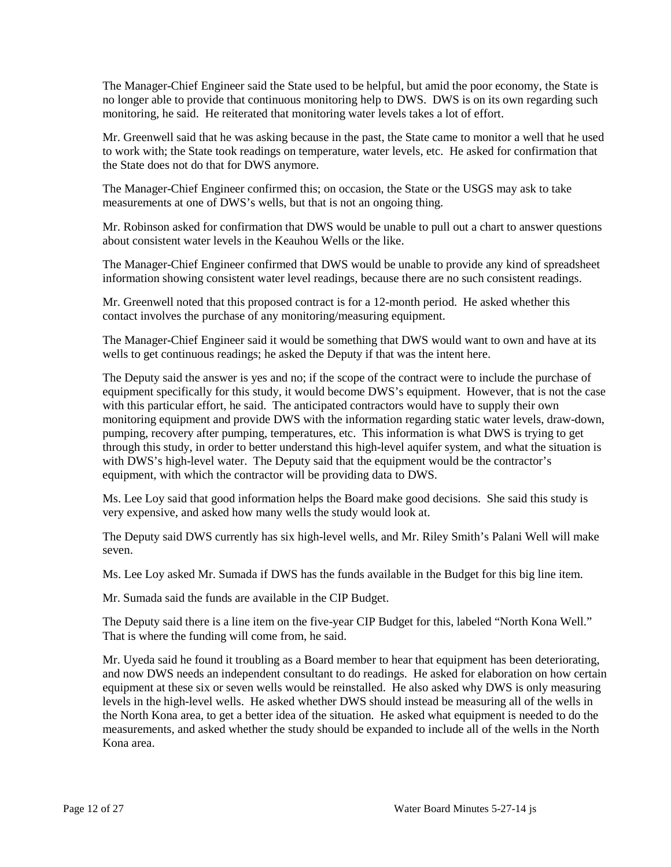The Manager-Chief Engineer said the State used to be helpful, but amid the poor economy, the State is no longer able to provide that continuous monitoring help to DWS. DWS is on its own regarding such monitoring, he said. He reiterated that monitoring water levels takes a lot of effort.

Mr. Greenwell said that he was asking because in the past, the State came to monitor a well that he used to work with; the State took readings on temperature, water levels, etc. He asked for confirmation that the State does not do that for DWS anymore.

The Manager-Chief Engineer confirmed this; on occasion, the State or the USGS may ask to take measurements at one of DWS's wells, but that is not an ongoing thing.

Mr. Robinson asked for confirmation that DWS would be unable to pull out a chart to answer questions about consistent water levels in the Keauhou Wells or the like.

The Manager-Chief Engineer confirmed that DWS would be unable to provide any kind of spreadsheet information showing consistent water level readings, because there are no such consistent readings.

Mr. Greenwell noted that this proposed contract is for a 12-month period. He asked whether this contact involves the purchase of any monitoring/measuring equipment.

The Manager-Chief Engineer said it would be something that DWS would want to own and have at its wells to get continuous readings; he asked the Deputy if that was the intent here.

The Deputy said the answer is yes and no; if the scope of the contract were to include the purchase of equipment specifically for this study, it would become DWS's equipment. However, that is not the case with this particular effort, he said. The anticipated contractors would have to supply their own monitoring equipment and provide DWS with the information regarding static water levels, draw-down, pumping, recovery after pumping, temperatures, etc. This information is what DWS is trying to get through this study, in order to better understand this high-level aquifer system, and what the situation is with DWS's high-level water. The Deputy said that the equipment would be the contractor's equipment, with which the contractor will be providing data to DWS.

Ms. Lee Loy said that good information helps the Board make good decisions. She said this study is very expensive, and asked how many wells the study would look at.

The Deputy said DWS currently has six high-level wells, and Mr. Riley Smith's Palani Well will make seven.

Ms. Lee Loy asked Mr. Sumada if DWS has the funds available in the Budget for this big line item.

Mr. Sumada said the funds are available in the CIP Budget.

The Deputy said there is a line item on the five-year CIP Budget for this, labeled "North Kona Well." That is where the funding will come from, he said.

Mr. Uyeda said he found it troubling as a Board member to hear that equipment has been deteriorating, and now DWS needs an independent consultant to do readings. He asked for elaboration on how certain equipment at these six or seven wells would be reinstalled. He also asked why DWS is only measuring levels in the high-level wells. He asked whether DWS should instead be measuring all of the wells in the North Kona area, to get a better idea of the situation. He asked what equipment is needed to do the measurements, and asked whether the study should be expanded to include all of the wells in the North Kona area.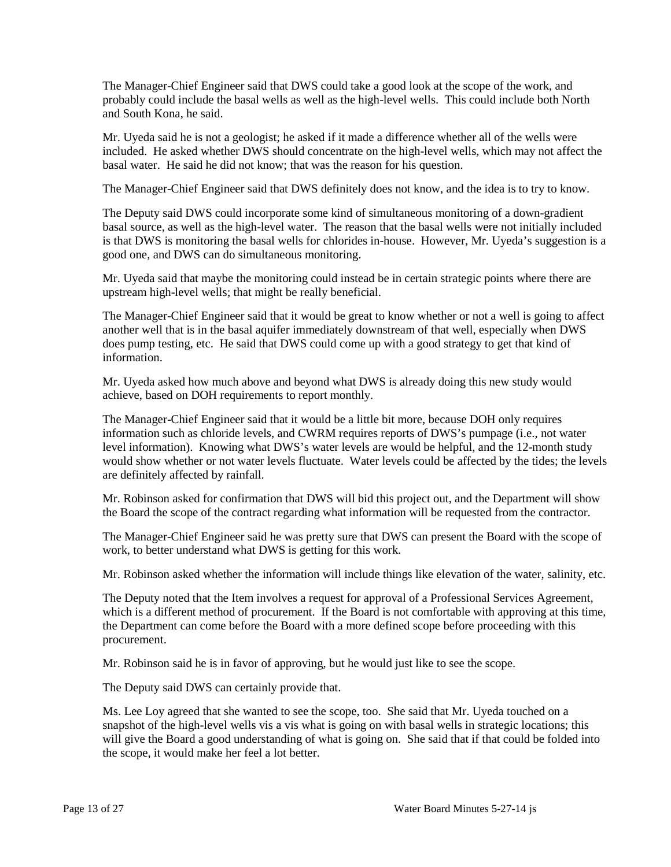The Manager-Chief Engineer said that DWS could take a good look at the scope of the work, and probably could include the basal wells as well as the high-level wells. This could include both North and South Kona, he said.

Mr. Uyeda said he is not a geologist; he asked if it made a difference whether all of the wells were included. He asked whether DWS should concentrate on the high-level wells, which may not affect the basal water. He said he did not know; that was the reason for his question.

The Manager-Chief Engineer said that DWS definitely does not know, and the idea is to try to know.

The Deputy said DWS could incorporate some kind of simultaneous monitoring of a down-gradient basal source, as well as the high-level water. The reason that the basal wells were not initially included is that DWS is monitoring the basal wells for chlorides in-house. However, Mr. Uyeda's suggestion is a good one, and DWS can do simultaneous monitoring.

Mr. Uyeda said that maybe the monitoring could instead be in certain strategic points where there are upstream high-level wells; that might be really beneficial.

The Manager-Chief Engineer said that it would be great to know whether or not a well is going to affect another well that is in the basal aquifer immediately downstream of that well, especially when DWS does pump testing, etc. He said that DWS could come up with a good strategy to get that kind of information.

Mr. Uyeda asked how much above and beyond what DWS is already doing this new study would achieve, based on DOH requirements to report monthly.

The Manager-Chief Engineer said that it would be a little bit more, because DOH only requires information such as chloride levels, and CWRM requires reports of DWS's pumpage (i.e., not water level information). Knowing what DWS's water levels are would be helpful, and the 12-month study would show whether or not water levels fluctuate. Water levels could be affected by the tides; the levels are definitely affected by rainfall.

Mr. Robinson asked for confirmation that DWS will bid this project out, and the Department will show the Board the scope of the contract regarding what information will be requested from the contractor.

The Manager-Chief Engineer said he was pretty sure that DWS can present the Board with the scope of work, to better understand what DWS is getting for this work.

Mr. Robinson asked whether the information will include things like elevation of the water, salinity, etc.

The Deputy noted that the Item involves a request for approval of a Professional Services Agreement, which is a different method of procurement. If the Board is not comfortable with approving at this time, the Department can come before the Board with a more defined scope before proceeding with this procurement.

Mr. Robinson said he is in favor of approving, but he would just like to see the scope.

The Deputy said DWS can certainly provide that.

Ms. Lee Loy agreed that she wanted to see the scope, too. She said that Mr. Uyeda touched on a snapshot of the high-level wells vis a vis what is going on with basal wells in strategic locations; this will give the Board a good understanding of what is going on. She said that if that could be folded into the scope, it would make her feel a lot better.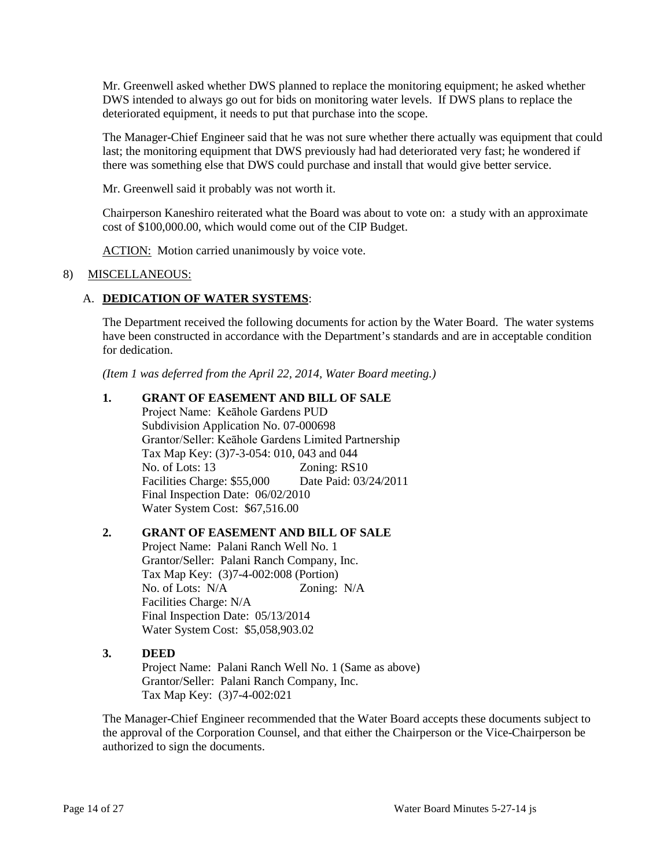Mr. Greenwell asked whether DWS planned to replace the monitoring equipment; he asked whether DWS intended to always go out for bids on monitoring water levels. If DWS plans to replace the deteriorated equipment, it needs to put that purchase into the scope.

The Manager-Chief Engineer said that he was not sure whether there actually was equipment that could last; the monitoring equipment that DWS previously had had deteriorated very fast; he wondered if there was something else that DWS could purchase and install that would give better service.

Mr. Greenwell said it probably was not worth it.

Chairperson Kaneshiro reiterated what the Board was about to vote on: a study with an approximate cost of \$100,000.00, which would come out of the CIP Budget.

ACTION: Motion carried unanimously by voice vote.

## 8) MISCELLANEOUS:

# A. **DEDICATION OF WATER SYSTEMS**:

The Department received the following documents for action by the Water Board. The water systems have been constructed in accordance with the Department's standards and are in acceptable condition for dedication.

*(Item 1 was deferred from the April 22, 2014, Water Board meeting.)*

# **1. GRANT OF EASEMENT AND BILL OF SALE**

Project Name: Keāhole Gardens PUD Subdivision Application No. 07-000698 Grantor/Seller: Keāhole Gardens Limited Partnership Tax Map Key: (3)7-3-054: 010, 043 and 044 No. of Lots: 13 Zoning: RS10 Facilities Charge: \$55,000 Date Paid: 03/24/2011 Final Inspection Date: 06/02/2010 Water System Cost: \$67,516.00

# **2. GRANT OF EASEMENT AND BILL OF SALE**

Project Name: Palani Ranch Well No. 1 Grantor/Seller: Palani Ranch Company, Inc. Tax Map Key: (3)7-4-002:008 (Portion) No. of Lots: N/A Zoning: N/A Facilities Charge: N/A Final Inspection Date: 05/13/2014 Water System Cost: \$5,058,903.02

### **3. DEED**

Project Name: Palani Ranch Well No. 1 (Same as above) Grantor/Seller: Palani Ranch Company, Inc. Tax Map Key: (3)7-4-002:021

The Manager-Chief Engineer recommended that the Water Board accepts these documents subject to the approval of the Corporation Counsel, and that either the Chairperson or the Vice-Chairperson be authorized to sign the documents.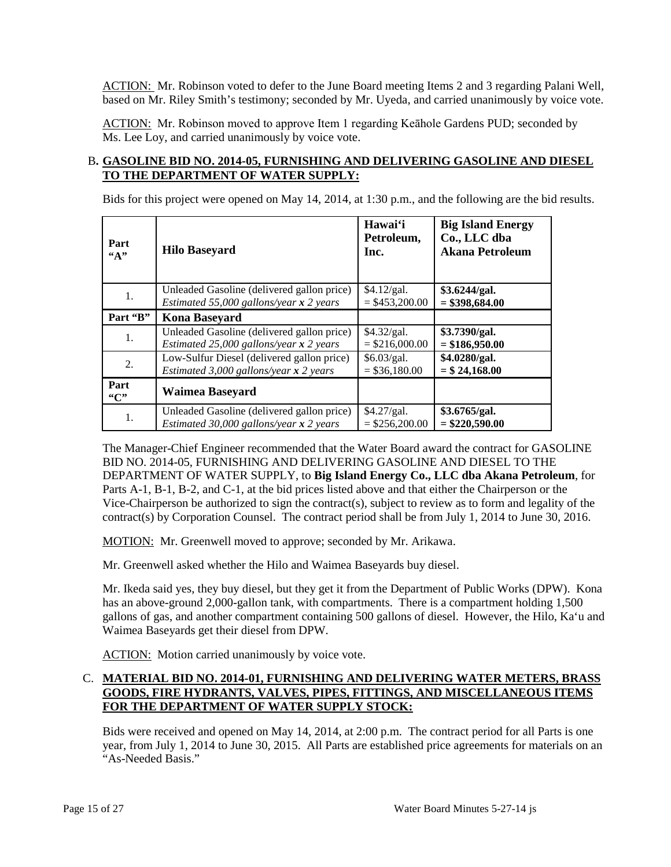ACTION: Mr. Robinson voted to defer to the June Board meeting Items 2 and 3 regarding Palani Well, based on Mr. Riley Smith's testimony; seconded by Mr. Uyeda, and carried unanimously by voice vote.

ACTION: Mr. Robinson moved to approve Item 1 regarding Keāhole Gardens PUD; seconded by Ms. Lee Loy, and carried unanimously by voice vote.

# B**. GASOLINE BID NO. 2014-05, FURNISHING AND DELIVERING GASOLINE AND DIESEL TO THE DEPARTMENT OF WATER SUPPLY:**

Bids for this project were opened on May 14, 2014, at 1:30 p.m., and the following are the bid results.

| Part<br>44  | <b>Hilo Baseyard</b>                       | Hawai'i<br>Petroleum,<br>Inc. | <b>Big Island Energy</b><br>Co., LLC dba<br><b>Akana Petroleum</b> |
|-------------|--------------------------------------------|-------------------------------|--------------------------------------------------------------------|
| 1.          | Unleaded Gasoline (delivered gallon price) | \$4.12/gal.                   | \$3.6244/gal.                                                      |
|             | Estimated 55,000 gallons/year $x$ 2 years  | $=$ \$453,200.00              | $= $398,684.00$                                                    |
| Part "B"    | <b>Kona Baseyard</b>                       |                               |                                                                    |
| 1.          | Unleaded Gasoline (delivered gallon price) | \$4.32/gal.                   | \$3.7390/gal.                                                      |
|             | Estimated 25,000 gallons/year $x$ 2 years  | $=$ \$216,000.00              | $= $186,950.00$                                                    |
| 2.          | Low-Sulfur Diesel (delivered gallon price) | \$6.03/gal.                   | \$4.0280/gal.                                                      |
|             | Estimated 3,000 gallons/year $x$ 2 years   | $= $36,180.00$                | $= $24,168.00$                                                     |
| Part<br>"C" | Waimea Baseyard                            |                               |                                                                    |
| 1.          | Unleaded Gasoline (delivered gallon price) | \$4.27/gal.                   | \$3.6765/gal.                                                      |
|             | Estimated 30,000 gallons/year $x$ 2 years  | $=$ \$256,200.00              | $=$ \$220,590.00                                                   |

The Manager-Chief Engineer recommended that the Water Board award the contract for GASOLINE BID NO. 2014-05, FURNISHING AND DELIVERING GASOLINE AND DIESEL TO THE DEPARTMENT OF WATER SUPPLY, to **Big Island Energy Co., LLC dba Akana Petroleum**, for Parts A-1, B-1, B-2, and C-1, at the bid prices listed above and that either the Chairperson or the Vice-Chairperson be authorized to sign the contract(s), subject to review as to form and legality of the contract(s) by Corporation Counsel. The contract period shall be from July 1, 2014 to June 30, 2016.

MOTION: Mr. Greenwell moved to approve; seconded by Mr. Arikawa.

Mr. Greenwell asked whether the Hilo and Waimea Baseyards buy diesel.

Mr. Ikeda said yes, they buy diesel, but they get it from the Department of Public Works (DPW). Kona has an above-ground 2,000-gallon tank, with compartments. There is a compartment holding 1,500 gallons of gas, and another compartment containing 500 gallons of diesel. However, the Hilo, Ka'u and Waimea Baseyards get their diesel from DPW.

ACTION: Motion carried unanimously by voice vote.

# C. **MATERIAL BID NO. 2014-01, FURNISHING AND DELIVERING WATER METERS, BRASS GOODS, FIRE HYDRANTS, VALVES, PIPES, FITTINGS, AND MISCELLANEOUS ITEMS FOR THE DEPARTMENT OF WATER SUPPLY STOCK:**

Bids were received and opened on May 14, 2014, at 2:00 p.m. The contract period for all Parts is one year, from July 1, 2014 to June 30, 2015. All Parts are established price agreements for materials on an "As-Needed Basis."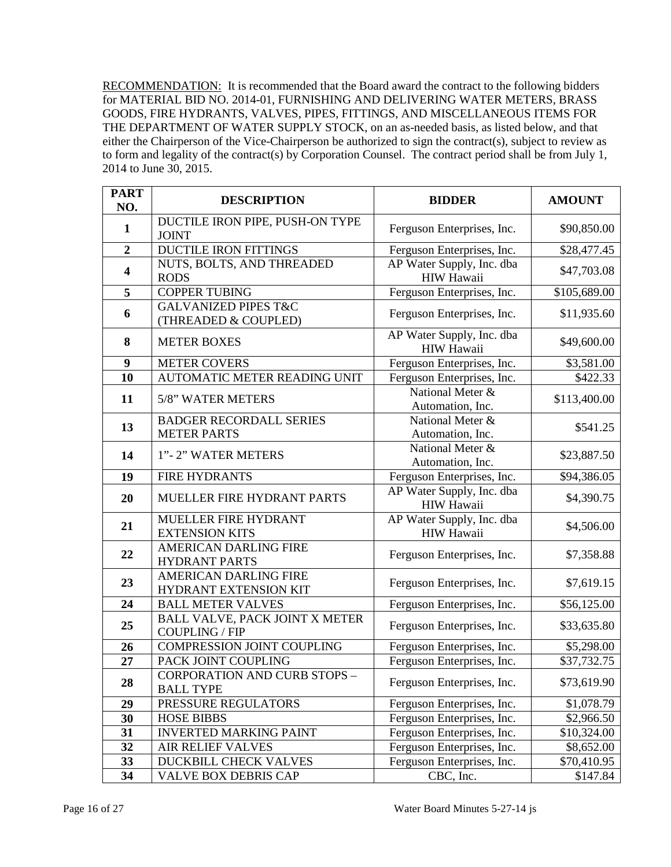RECOMMENDATION: It is recommended that the Board award the contract to the following bidders for MATERIAL BID NO. 2014-01, FURNISHING AND DELIVERING WATER METERS, BRASS GOODS, FIRE HYDRANTS, VALVES, PIPES, FITTINGS, AND MISCELLANEOUS ITEMS FOR THE DEPARTMENT OF WATER SUPPLY STOCK, on an as-needed basis, as listed below, and that either the Chairperson of the Vice-Chairperson be authorized to sign the contract(s), subject to review as to form and legality of the contract(s) by Corporation Counsel. The contract period shall be from July 1, 2014 to June 30, 2015.

| <b>PART</b><br>NO.      | <b>DESCRIPTION</b>                                                                    | <b>BIDDER</b>                                  | <b>AMOUNT</b> |
|-------------------------|---------------------------------------------------------------------------------------|------------------------------------------------|---------------|
| $\mathbf{1}$            | DUCTILE IRON PIPE, PUSH-ON TYPE<br><b>JOINT</b>                                       | Ferguson Enterprises, Inc.                     | \$90,850.00   |
| $\overline{2}$          | <b>DUCTILE IRON FITTINGS</b>                                                          | Ferguson Enterprises, Inc.                     | \$28,477.45   |
| $\overline{\mathbf{4}}$ | NUTS, BOLTS, AND THREADED<br><b>RODS</b>                                              | AP Water Supply, Inc. dba<br><b>HIW Hawaii</b> | \$47,703.08   |
| 5                       | <b>COPPER TUBING</b>                                                                  | Ferguson Enterprises, Inc.                     | \$105,689.00  |
| 6                       | <b>GALVANIZED PIPES T&amp;C</b><br>Ferguson Enterprises, Inc.<br>(THREADED & COUPLED) |                                                | \$11,935.60   |
| 8                       | <b>METER BOXES</b>                                                                    | AP Water Supply, Inc. dba<br><b>HIW Hawaii</b> | \$49,600.00   |
| 9                       | <b>METER COVERS</b>                                                                   | Ferguson Enterprises, Inc.                     | \$3,581.00    |
| 10                      | AUTOMATIC METER READING UNIT                                                          | Ferguson Enterprises, Inc.                     | \$422.33      |
| 11                      | 5/8" WATER METERS                                                                     | National Meter &<br>Automation, Inc.           | \$113,400.00  |
| 13                      | <b>BADGER RECORDALL SERIES</b><br><b>METER PARTS</b>                                  | National Meter &<br>Automation, Inc.           | \$541.25      |
| 14                      | 1"-2" WATER METERS                                                                    | National Meter &<br>Automation, Inc.           | \$23,887.50   |
| 19                      | <b>FIRE HYDRANTS</b>                                                                  | Ferguson Enterprises, Inc.                     | \$94,386.05   |
| 20                      | MUELLER FIRE HYDRANT PARTS                                                            | AP Water Supply, Inc. dba<br><b>HIW Hawaii</b> | \$4,390.75    |
| 21                      | MUELLER FIRE HYDRANT<br><b>EXTENSION KITS</b>                                         | AP Water Supply, Inc. dba<br>HIW Hawaii        | \$4,506.00    |
| 22                      | <b>AMERICAN DARLING FIRE</b><br><b>HYDRANT PARTS</b>                                  | Ferguson Enterprises, Inc.                     | \$7,358.88    |
| 23                      | <b>AMERICAN DARLING FIRE</b><br>HYDRANT EXTENSION KIT                                 | Ferguson Enterprises, Inc.                     | \$7,619.15    |
| 24                      | <b>BALL METER VALVES</b>                                                              | Ferguson Enterprises, Inc.                     | \$56,125.00   |
| 25                      | BALL VALVE, PACK JOINT X METER<br><b>COUPLING / FIP</b>                               | Ferguson Enterprises, Inc.                     | \$33,635.80   |
| 26                      | COMPRESSION JOINT COUPLING                                                            | Ferguson Enterprises, Inc.                     | \$5,298.00    |
| 27                      | PACK JOINT COUPLING                                                                   | Ferguson Enterprises, Inc.                     | \$37,732.75   |
| 28                      | <b>CORPORATION AND CURB STOPS -</b><br><b>BALL TYPE</b>                               | Ferguson Enterprises, Inc.                     | \$73,619.90   |
| 29                      | PRESSURE REGULATORS                                                                   | Ferguson Enterprises, Inc.                     | \$1,078.79    |
| 30                      | <b>HOSE BIBBS</b>                                                                     | Ferguson Enterprises, Inc.                     | \$2,966.50    |
| 31                      | <b>INVERTED MARKING PAINT</b>                                                         | Ferguson Enterprises, Inc.                     | \$10,324.00   |
| 32                      | <b>AIR RELIEF VALVES</b>                                                              | Ferguson Enterprises, Inc.                     | \$8,652.00    |
| 33                      | DUCKBILL CHECK VALVES                                                                 | Ferguson Enterprises, Inc.                     | \$70,410.95   |
| 34                      | <b>VALVE BOX DEBRIS CAP</b>                                                           | CBC, Inc.                                      | \$147.84      |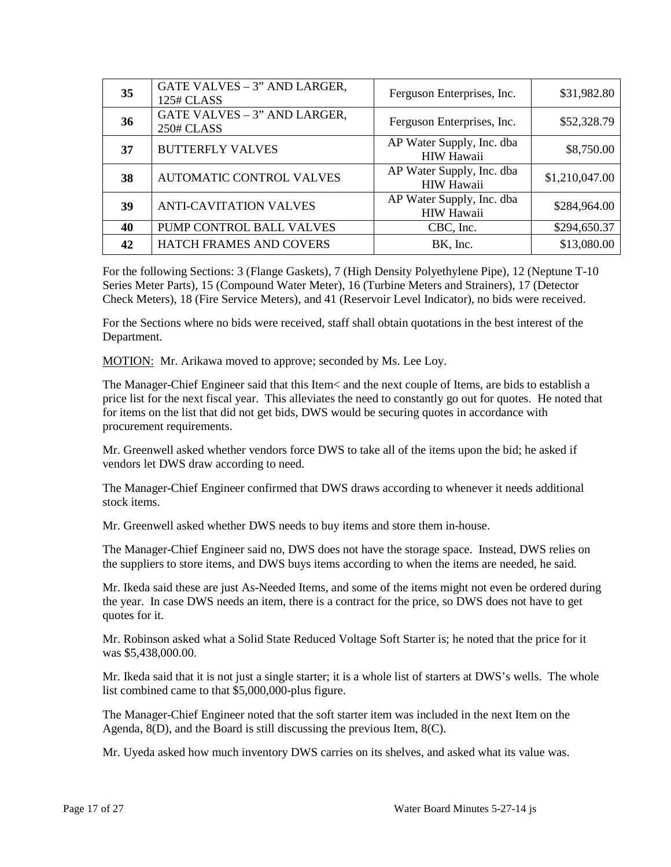| 35 | GATE VALVES - 3" AND LARGER,<br>125# CLASS        | Ferguson Enterprises, Inc.                     | \$31,982.80    |
|----|---------------------------------------------------|------------------------------------------------|----------------|
| 36 | GATE VALVES - 3" AND LARGER,<br><b>250# CLASS</b> | Ferguson Enterprises, Inc.                     | \$52,328.79    |
| 37 | <b>BUTTERFLY VALVES</b>                           | AP Water Supply, Inc. dba<br>HIW Hawaii        | \$8,750.00     |
| 38 | <b>AUTOMATIC CONTROL VALVES</b>                   | AP Water Supply, Inc. dba<br><b>HIW Hawaii</b> | \$1,210,047.00 |
| 39 | <b>ANTI-CAVITATION VALVES</b>                     | AP Water Supply, Inc. dba<br><b>HIW Hawaii</b> | \$284,964.00   |
| 40 | PUMP CONTROL BALL VALVES                          | CBC, Inc.                                      | \$294,650.37   |
| 42 | <b>HATCH FRAMES AND COVERS</b>                    | BK, Inc.                                       | \$13,080.00    |

For the following Sections: 3 (Flange Gaskets), 7 (High Density Polyethylene Pipe), 12 (Neptune T-10 Series Meter Parts), 15 (Compound Water Meter), 16 (Turbine Meters and Strainers), 17 (Detector Check Meters), 18 (Fire Service Meters), and 41 (Reservoir Level Indicator), no bids were received.

For the Sections where no bids were received, staff shall obtain quotations in the best interest of the Department.

MOTION: Mr. Arikawa moved to approve; seconded by Ms. Lee Loy.

The Manager-Chief Engineer said that this Item< and the next couple of Items, are bids to establish a price list for the next fiscal year. This alleviates the need to constantly go out for quotes. He noted that for items on the list that did not get bids, DWS would be securing quotes in accordance with procurement requirements.

Mr. Greenwell asked whether vendors force DWS to take all of the items upon the bid; he asked if vendors let DWS draw according to need.

The Manager-Chief Engineer confirmed that DWS draws according to whenever it needs additional stock items.

Mr. Greenwell asked whether DWS needs to buy items and store them in-house.

The Manager-Chief Engineer said no, DWS does not have the storage space. Instead, DWS relies on the suppliers to store items, and DWS buys items according to when the items are needed, he said.

Mr. Ikeda said these are just As-Needed Items, and some of the items might not even be ordered during the year. In case DWS needs an item, there is a contract for the price, so DWS does not have to get quotes for it.

Mr. Robinson asked what a Solid State Reduced Voltage Soft Starter is; he noted that the price for it was \$5,438,000.00.

Mr. Ikeda said that it is not just a single starter; it is a whole list of starters at DWS's wells. The whole list combined came to that \$5,000,000-plus figure.

The Manager-Chief Engineer noted that the soft starter item was included in the next Item on the Agenda, 8(D), and the Board is still discussing the previous Item, 8(C).

Mr. Uyeda asked how much inventory DWS carries on its shelves, and asked what its value was.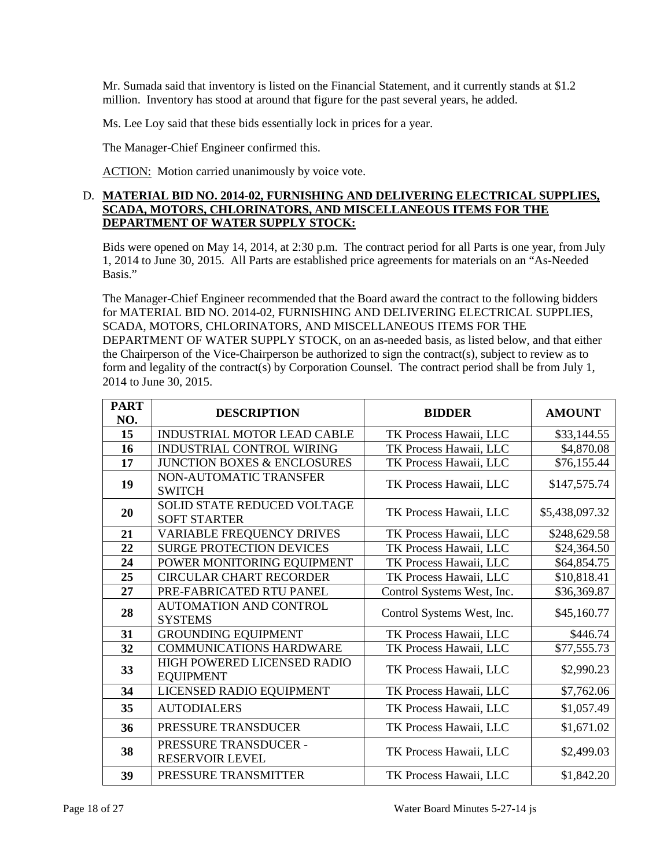Mr. Sumada said that inventory is listed on the Financial Statement, and it currently stands at \$1.2 million. Inventory has stood at around that figure for the past several years, he added.

Ms. Lee Loy said that these bids essentially lock in prices for a year.

The Manager-Chief Engineer confirmed this.

ACTION: Motion carried unanimously by voice vote.

# D. **MATERIAL BID NO. 2014-02, FURNISHING AND DELIVERING ELECTRICAL SUPPLIES, SCADA, MOTORS, CHLORINATORS, AND MISCELLANEOUS ITEMS FOR THE DEPARTMENT OF WATER SUPPLY STOCK:**

Bids were opened on May 14, 2014, at 2:30 p.m. The contract period for all Parts is one year, from July 1, 2014 to June 30, 2015. All Parts are established price agreements for materials on an "As-Needed Basis."

The Manager-Chief Engineer recommended that the Board award the contract to the following bidders for MATERIAL BID NO. 2014-02, FURNISHING AND DELIVERING ELECTRICAL SUPPLIES, SCADA, MOTORS, CHLORINATORS, AND MISCELLANEOUS ITEMS FOR THE DEPARTMENT OF WATER SUPPLY STOCK, on an as-needed basis, as listed below, and that either the Chairperson of the Vice-Chairperson be authorized to sign the contract(s), subject to review as to form and legality of the contract(s) by Corporation Counsel. The contract period shall be from July 1, 2014 to June 30, 2015.

| <b>PART</b><br>NO. | <b>DESCRIPTION</b>                                        | <b>BIDDER</b>              | <b>AMOUNT</b>  |
|--------------------|-----------------------------------------------------------|----------------------------|----------------|
| 15                 | INDUSTRIAL MOTOR LEAD CABLE                               | TK Process Hawaii, LLC     | \$33,144.55    |
| 16                 | INDUSTRIAL CONTROL WIRING                                 | TK Process Hawaii, LLC     | \$4,870.08     |
| 17                 | JUNCTION BOXES & ENCLOSURES                               | TK Process Hawaii, LLC     | \$76,155.44    |
| 19                 | NON-AUTOMATIC TRANSFER<br><b>SWITCH</b>                   | TK Process Hawaii, LLC     | \$147,575.74   |
| 20                 | <b>SOLID STATE REDUCED VOLTAGE</b><br><b>SOFT STARTER</b> | TK Process Hawaii, LLC     | \$5,438,097.32 |
| 21                 | <b>VARIABLE FREQUENCY DRIVES</b>                          | TK Process Hawaii, LLC     | \$248,629.58   |
| 22                 | <b>SURGE PROTECTION DEVICES</b>                           | TK Process Hawaii, LLC     | \$24,364.50    |
| 24                 | POWER MONITORING EQUIPMENT                                | TK Process Hawaii, LLC     | \$64,854.75    |
| 25                 | <b>CIRCULAR CHART RECORDER</b>                            | TK Process Hawaii, LLC     | \$10,818.41    |
| 27                 | PRE-FABRICATED RTU PANEL                                  | Control Systems West, Inc. | \$36,369.87    |
| 28                 | <b>AUTOMATION AND CONTROL</b><br><b>SYSTEMS</b>           | Control Systems West, Inc. | \$45,160.77    |
| 31                 | <b>GROUNDING EQUIPMENT</b>                                | TK Process Hawaii, LLC     | \$446.74       |
| 32                 | <b>COMMUNICATIONS HARDWARE</b>                            | TK Process Hawaii, LLC     | \$77,555.73    |
| 33                 | HIGH POWERED LICENSED RADIO<br><b>EQUIPMENT</b>           | TK Process Hawaii, LLC     | \$2,990.23     |
| 34                 | LICENSED RADIO EQUIPMENT                                  | TK Process Hawaii, LLC     | \$7,762.06     |
| 35                 | <b>AUTODIALERS</b>                                        | TK Process Hawaii, LLC     | \$1,057.49     |
| 36                 | PRESSURE TRANSDUCER                                       | TK Process Hawaii, LLC     | \$1,671.02     |
| 38                 | PRESSURE TRANSDUCER -<br>RESERVOIR LEVEL                  | TK Process Hawaii, LLC     | \$2,499.03     |
| 39                 | PRESSURE TRANSMITTER                                      | TK Process Hawaii, LLC     | \$1,842.20     |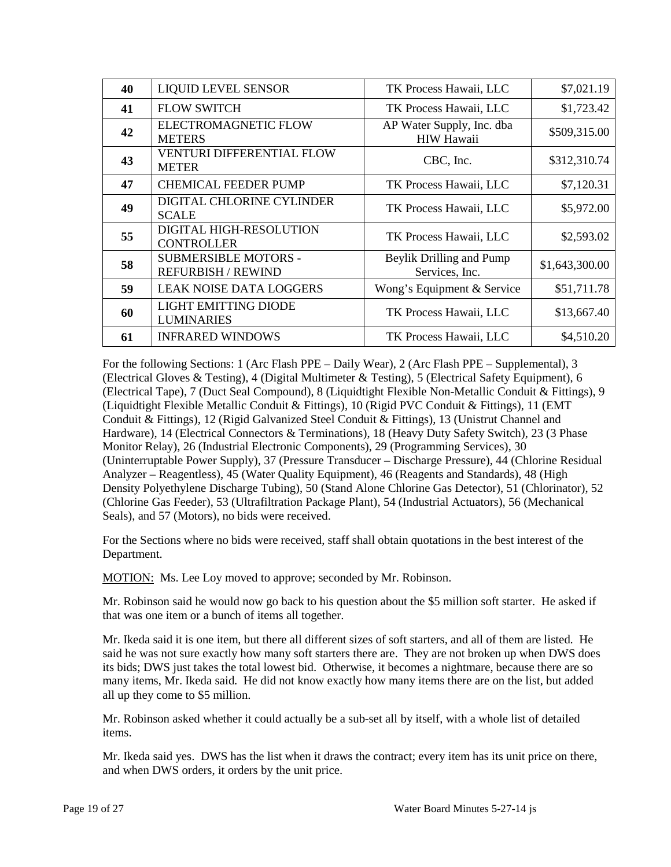| 40 | <b>LIQUID LEVEL SENSOR</b>                               | TK Process Hawaii, LLC                         | \$7,021.19     |
|----|----------------------------------------------------------|------------------------------------------------|----------------|
| 41 | <b>FLOW SWITCH</b>                                       | TK Process Hawaii, LLC                         | \$1,723.42     |
| 42 | <b>ELECTROMAGNETIC FLOW</b><br><b>METERS</b>             | AP Water Supply, Inc. dba<br><b>HIW Hawaii</b> | \$509,315.00   |
| 43 | <b>VENTURI DIFFERENTIAL FLOW</b><br><b>METER</b>         | CBC, Inc.                                      | \$312,310.74   |
| 47 | <b>CHEMICAL FEEDER PUMP</b>                              | TK Process Hawaii, LLC                         | \$7,120.31     |
| 49 | DIGITAL CHLORINE CYLINDER<br><b>SCALE</b>                | TK Process Hawaii, LLC                         | \$5,972.00     |
| 55 | <b>DIGITAL HIGH-RESOLUTION</b><br><b>CONTROLLER</b>      | TK Process Hawaii, LLC                         | \$2,593.02     |
| 58 | <b>SUBMERSIBLE MOTORS -</b><br><b>REFURBISH / REWIND</b> | Beylik Drilling and Pump<br>Services, Inc.     | \$1,643,300.00 |
| 59 | <b>LEAK NOISE DATA LOGGERS</b>                           | Wong's Equipment & Service                     | \$51,711.78    |
| 60 | <b>LIGHT EMITTING DIODE</b><br><b>LUMINARIES</b>         | TK Process Hawaii, LLC                         | \$13,667.40    |
| 61 | <b>INFRARED WINDOWS</b>                                  | TK Process Hawaii, LLC                         | \$4,510.20     |

For the following Sections: 1 (Arc Flash PPE – Daily Wear), 2 (Arc Flash PPE – Supplemental), 3 (Electrical Gloves & Testing), 4 (Digital Multimeter & Testing), 5 (Electrical Safety Equipment), 6 (Electrical Tape), 7 (Duct Seal Compound), 8 (Liquidtight Flexible Non-Metallic Conduit & Fittings), 9 (Liquidtight Flexible Metallic Conduit & Fittings), 10 (Rigid PVC Conduit & Fittings), 11 (EMT Conduit & Fittings), 12 (Rigid Galvanized Steel Conduit & Fittings), 13 (Unistrut Channel and Hardware), 14 (Electrical Connectors & Terminations), 18 (Heavy Duty Safety Switch), 23 (3 Phase Monitor Relay), 26 (Industrial Electronic Components), 29 (Programming Services), 30 (Uninterruptable Power Supply), 37 (Pressure Transducer – Discharge Pressure), 44 (Chlorine Residual Analyzer – Reagentless), 45 (Water Quality Equipment), 46 (Reagents and Standards), 48 (High Density Polyethylene Discharge Tubing), 50 (Stand Alone Chlorine Gas Detector), 51 (Chlorinator), 52 (Chlorine Gas Feeder), 53 (Ultrafiltration Package Plant), 54 (Industrial Actuators), 56 (Mechanical Seals), and 57 (Motors), no bids were received.

For the Sections where no bids were received, staff shall obtain quotations in the best interest of the Department.

MOTION: Ms. Lee Loy moved to approve; seconded by Mr. Robinson.

Mr. Robinson said he would now go back to his question about the \$5 million soft starter. He asked if that was one item or a bunch of items all together.

Mr. Ikeda said it is one item, but there all different sizes of soft starters, and all of them are listed. He said he was not sure exactly how many soft starters there are. They are not broken up when DWS does its bids; DWS just takes the total lowest bid. Otherwise, it becomes a nightmare, because there are so many items, Mr. Ikeda said. He did not know exactly how many items there are on the list, but added all up they come to \$5 million.

Mr. Robinson asked whether it could actually be a sub-set all by itself, with a whole list of detailed items.

Mr. Ikeda said yes. DWS has the list when it draws the contract; every item has its unit price on there, and when DWS orders, it orders by the unit price.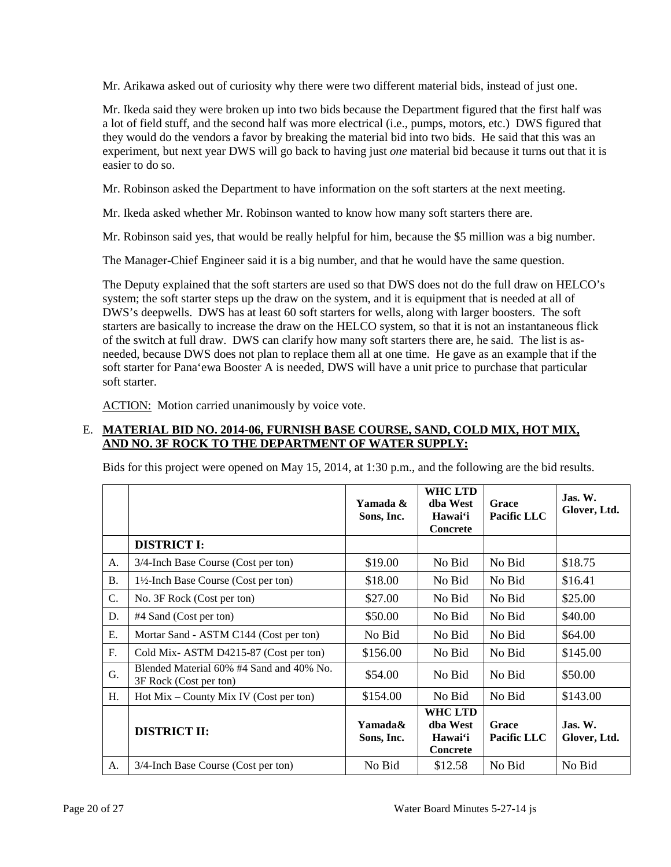Mr. Arikawa asked out of curiosity why there were two different material bids, instead of just one.

Mr. Ikeda said they were broken up into two bids because the Department figured that the first half was a lot of field stuff, and the second half was more electrical (i.e., pumps, motors, etc.) DWS figured that they would do the vendors a favor by breaking the material bid into two bids. He said that this was an experiment, but next year DWS will go back to having just *one* material bid because it turns out that it is easier to do so.

Mr. Robinson asked the Department to have information on the soft starters at the next meeting.

Mr. Ikeda asked whether Mr. Robinson wanted to know how many soft starters there are.

Mr. Robinson said yes, that would be really helpful for him, because the \$5 million was a big number.

The Manager-Chief Engineer said it is a big number, and that he would have the same question.

The Deputy explained that the soft starters are used so that DWS does not do the full draw on HELCO's system; the soft starter steps up the draw on the system, and it is equipment that is needed at all of DWS's deepwells. DWS has at least 60 soft starters for wells, along with larger boosters. The soft starters are basically to increase the draw on the HELCO system, so that it is not an instantaneous flick of the switch at full draw. DWS can clarify how many soft starters there are, he said. The list is asneeded, because DWS does not plan to replace them all at one time. He gave as an example that if the soft starter for Pana'ewa Booster A is needed, DWS will have a unit price to purchase that particular soft starter.

ACTION: Motion carried unanimously by voice vote.

## E. **MATERIAL BID NO. 2014-06, FURNISH BASE COURSE, SAND, COLD MIX, HOT MIX, AND NO. 3F ROCK TO THE DEPARTMENT OF WATER SUPPLY:**

Bids for this project were opened on May 15, 2014, at 1:30 p.m., and the following are the bid results.

|           |                                                                    | Yamada &<br>Sons, Inc. | <b>WHC LTD</b><br>dha West<br>Hawai'i<br><b>Concrete</b> | Grace<br>Pacific LLC        | Jas. W.<br>Glover, Ltd.             |
|-----------|--------------------------------------------------------------------|------------------------|----------------------------------------------------------|-----------------------------|-------------------------------------|
|           | <b>DISTRICT I:</b>                                                 |                        |                                                          |                             |                                     |
| A.        | 3/4-Inch Base Course (Cost per ton)                                | \$19.00                | No Bid                                                   | No Bid                      | \$18.75                             |
| <b>B.</b> | 1½-Inch Base Course (Cost per ton)                                 | \$18.00                | No Bid                                                   | No Bid                      | \$16.41                             |
| C.        | No. 3F Rock (Cost per ton)                                         | \$27.00                | No Bid                                                   | No Bid                      | \$25.00                             |
| D.        | #4 Sand (Cost per ton)                                             | \$50.00                | No Bid                                                   | No Bid                      | \$40.00                             |
| Ε.        | Mortar Sand - ASTM C144 (Cost per ton)                             | No Bid                 | No Bid                                                   | No Bid                      | \$64.00                             |
| F.        | Cold Mix-ASTM D4215-87 (Cost per ton)                              | \$156.00               | No Bid                                                   | No Bid                      | \$145.00                            |
| G.        | Blended Material 60% #4 Sand and 40% No.<br>3F Rock (Cost per ton) | \$54.00                | No Bid                                                   | No Bid                      | \$50.00                             |
| Н.        | Hot $Mix - County Mix IV (Cost per ton)$                           | \$154.00               | No Bid                                                   | No Bid                      | \$143.00                            |
|           | <b>DISTRICT II:</b>                                                | Yamada&<br>Sons, Inc.  | <b>WHC LTD</b><br>dha West<br>Hawai'i<br><b>Concrete</b> | Grace<br><b>Pacific LLC</b> | $\mathbf{J}$ as. W.<br>Glover, Ltd. |
| A.        | 3/4-Inch Base Course (Cost per ton)                                | No Bid                 | \$12.58                                                  | No Bid                      | No Bid                              |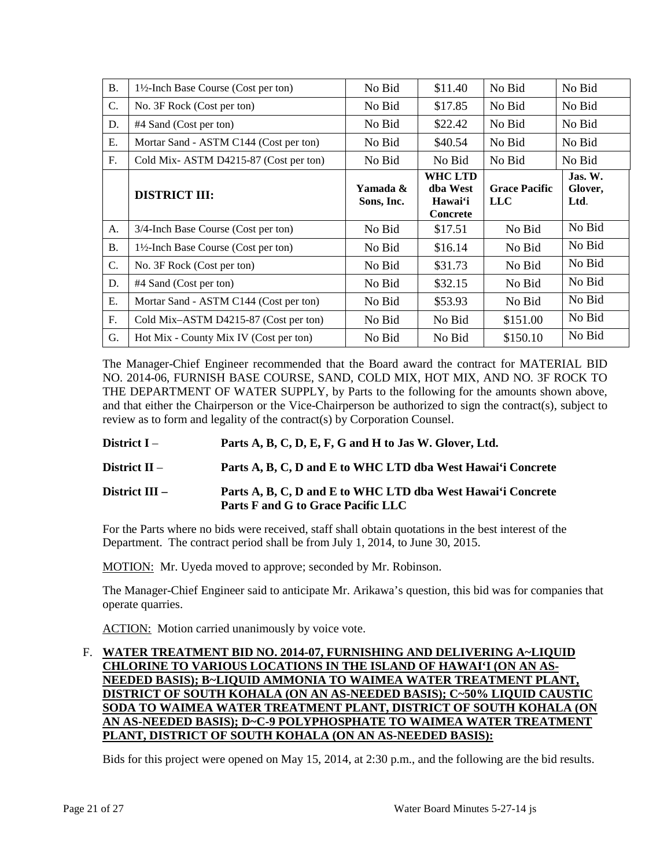| <b>B.</b> | 1½-Inch Base Course (Cost per ton)              | No Bid                 | \$11.40                                                  | No Bid                             | No Bid                     |
|-----------|-------------------------------------------------|------------------------|----------------------------------------------------------|------------------------------------|----------------------------|
| C.        | No. 3F Rock (Cost per ton)                      | No Bid                 | \$17.85                                                  | No Bid                             | No Bid                     |
| D.        | #4 Sand (Cost per ton)                          | No Bid                 | \$22.42                                                  | No Bid                             | No Bid                     |
| Ε.        | Mortar Sand - ASTM C144 (Cost per ton)          | No Bid                 | \$40.54                                                  | No Bid                             | No Bid                     |
| F.        | Cold Mix-ASTM D4215-87 (Cost per ton)           | No Bid                 | No Bid                                                   | No Bid                             | No Bid                     |
|           | <b>DISTRICT III:</b>                            | Yamada &<br>Sons, Inc. | <b>WHC LTD</b><br>dba West<br>Hawai'i<br><b>Concrete</b> | <b>Grace Pacific</b><br><b>LLC</b> | Jas. W.<br>Glover,<br>Ltd. |
| A.        | 3/4-Inch Base Course (Cost per ton)             | No Bid                 | \$17.51                                                  | No Bid                             | No Bid                     |
| <b>B.</b> | $1\frac{1}{2}$ -Inch Base Course (Cost per ton) | No Bid                 | \$16.14                                                  | No Bid                             | No Bid                     |
|           |                                                 |                        |                                                          |                                    |                            |
| C.        | No. 3F Rock (Cost per ton)                      | No Bid                 | \$31.73                                                  | No Bid                             | No Bid                     |
| D.        | #4 Sand (Cost per ton)                          | No Bid                 | \$32.15                                                  | No Bid                             | No Bid                     |
| Ε.        | Mortar Sand - ASTM C144 (Cost per ton)          | No Bid                 | \$53.93                                                  | No Bid                             | No Bid                     |
| F.        | Cold Mix-ASTM D4215-87 (Cost per ton)           | No Bid                 | No Bid                                                   | \$151.00                           | No Bid                     |

The Manager-Chief Engineer recommended that the Board award the contract for MATERIAL BID NO. 2014-06, FURNISH BASE COURSE, SAND, COLD MIX, HOT MIX, AND NO. 3F ROCK TO THE DEPARTMENT OF WATER SUPPLY, by Parts to the following for the amounts shown above, and that either the Chairperson or the Vice-Chairperson be authorized to sign the contract(s), subject to review as to form and legality of the contract(s) by Corporation Counsel.

- **District I Parts A, B, C, D, E, F, G and H to Jas W. Glover, Ltd.**
- **District II Parts A, B, C, D and E to WHC LTD dba West Hawai'i Concrete**

# **District III – Parts A, B, C, D and E to WHC LTD dba West Hawai'i Concrete Parts F and G to Grace Pacific LLC**

For the Parts where no bids were received, staff shall obtain quotations in the best interest of the Department. The contract period shall be from July 1, 2014, to June 30, 2015.

MOTION: Mr. Uyeda moved to approve; seconded by Mr. Robinson.

The Manager-Chief Engineer said to anticipate Mr. Arikawa's question, this bid was for companies that operate quarries.

ACTION: Motion carried unanimously by voice vote.

## F. **WATER TREATMENT BID NO. 2014-07, FURNISHING AND DELIVERING A~LIQUID CHLORINE TO VARIOUS LOCATIONS IN THE ISLAND OF HAWAI'I (ON AN AS-NEEDED BASIS); B~LIQUID AMMONIA TO WAIMEA WATER TREATMENT PLANT, DISTRICT OF SOUTH KOHALA (ON AN AS-NEEDED BASIS); C~50% LIQUID CAUSTIC SODA TO WAIMEA WATER TREATMENT PLANT, DISTRICT OF SOUTH KOHALA (ON AN AS-NEEDED BASIS); D~C-9 POLYPHOSPHATE TO WAIMEA WATER TREATMENT PLANT, DISTRICT OF SOUTH KOHALA (ON AN AS-NEEDED BASIS):**

Bids for this project were opened on May 15, 2014, at 2:30 p.m., and the following are the bid results.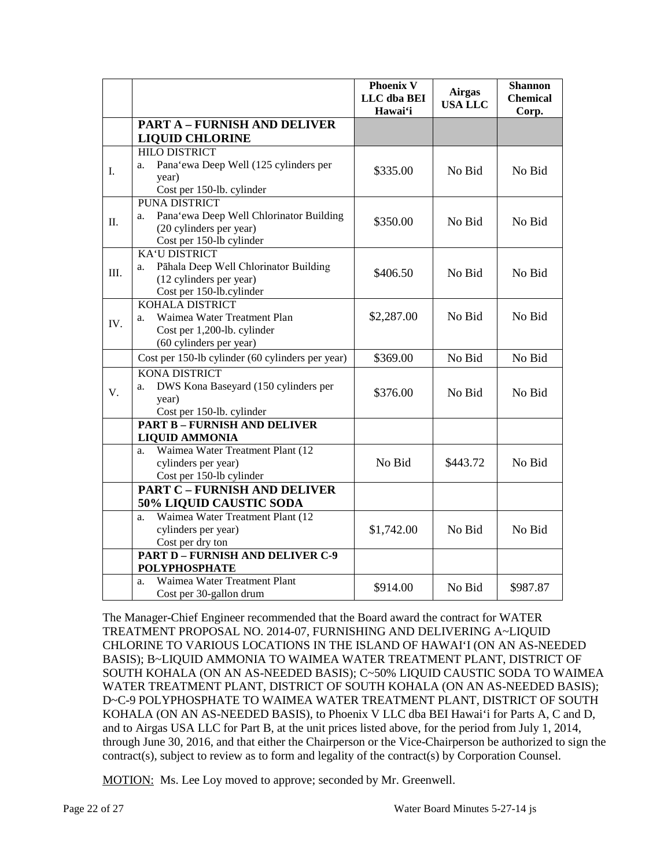|     |                                                                                                                              | <b>Phoenix V</b><br>LLC dba BEI<br>Hawai'i | <b>Airgas</b><br><b>USA LLC</b> | <b>Shannon</b><br><b>Chemical</b><br>Corp. |
|-----|------------------------------------------------------------------------------------------------------------------------------|--------------------------------------------|---------------------------------|--------------------------------------------|
|     | <b>PART A - FURNISH AND DELIVER</b><br><b>LIQUID CHLORINE</b>                                                                |                                            |                                 |                                            |
| I.  | <b>HILO DISTRICT</b><br>Pana'ewa Deep Well (125 cylinders per<br>a.<br>year)<br>Cost per 150-lb. cylinder                    | \$335.00                                   | No Bid                          | No Bid                                     |
| II. | <b>PUNA DISTRICT</b><br>Pana'ewa Deep Well Chlorinator Building<br>a.<br>(20 cylinders per year)<br>Cost per 150-lb cylinder | \$350.00                                   | No Bid                          | No Bid                                     |
| Ш.  | <b>KA'U DISTRICT</b><br>Pāhala Deep Well Chlorinator Building<br>a.<br>(12 cylinders per year)<br>Cost per 150-lb.cylinder   | \$406.50                                   | No Bid                          | No Bid                                     |
| IV. | <b>KOHALA DISTRICT</b><br>Waimea Water Treatment Plan<br>a.<br>Cost per 1,200-lb. cylinder<br>(60 cylinders per year)        | \$2,287.00                                 | No Bid                          | No Bid                                     |
|     | Cost per 150-lb cylinder (60 cylinders per year)                                                                             | \$369.00                                   | No Bid                          | No Bid                                     |
| V.  | <b>KONA DISTRICT</b><br>DWS Kona Baseyard (150 cylinders per<br>a.<br>year)<br>Cost per 150-lb. cylinder                     | \$376.00                                   | No Bid                          | No Bid                                     |
|     | <b>PART B - FURNISH AND DELIVER</b>                                                                                          |                                            |                                 |                                            |
|     | <b>LIQUID AMMONIA</b><br>Waimea Water Treatment Plant (12<br>a.<br>cylinders per year)<br>Cost per 150-lb cylinder           | No Bid                                     | \$443.72                        | No Bid                                     |
|     | <b>PART C - FURNISH AND DELIVER</b>                                                                                          |                                            |                                 |                                            |
|     | <b>50% LIQUID CAUSTIC SODA</b>                                                                                               |                                            |                                 |                                            |
|     | Waimea Water Treatment Plant (12<br>a.<br>cylinders per year)<br>Cost per dry ton                                            | \$1,742.00                                 | No Bid                          | No Bid                                     |
|     | <b>PART D - FURNISH AND DELIVER C-9</b><br><b>POLYPHOSPHATE</b>                                                              |                                            |                                 |                                            |
|     | Waimea Water Treatment Plant<br>a.<br>Cost per 30-gallon drum                                                                | \$914.00                                   | No Bid                          | \$987.87                                   |

The Manager-Chief Engineer recommended that the Board award the contract for WATER TREATMENT PROPOSAL NO. 2014-07, FURNISHING AND DELIVERING A~LIQUID CHLORINE TO VARIOUS LOCATIONS IN THE ISLAND OF HAWAI'I (ON AN AS-NEEDED BASIS); B~LIQUID AMMONIA TO WAIMEA WATER TREATMENT PLANT, DISTRICT OF SOUTH KOHALA (ON AN AS-NEEDED BASIS); C~50% LIQUID CAUSTIC SODA TO WAIMEA WATER TREATMENT PLANT, DISTRICT OF SOUTH KOHALA (ON AN AS-NEEDED BASIS); D~C-9 POLYPHOSPHATE TO WAIMEA WATER TREATMENT PLANT, DISTRICT OF SOUTH KOHALA (ON AN AS-NEEDED BASIS), to Phoenix V LLC dba BEI Hawai'i for Parts A, C and D, and to Airgas USA LLC for Part B, at the unit prices listed above, for the period from July 1, 2014, through June 30, 2016, and that either the Chairperson or the Vice-Chairperson be authorized to sign the contract(s), subject to review as to form and legality of the contract(s) by Corporation Counsel.

MOTION: Ms. Lee Loy moved to approve; seconded by Mr. Greenwell.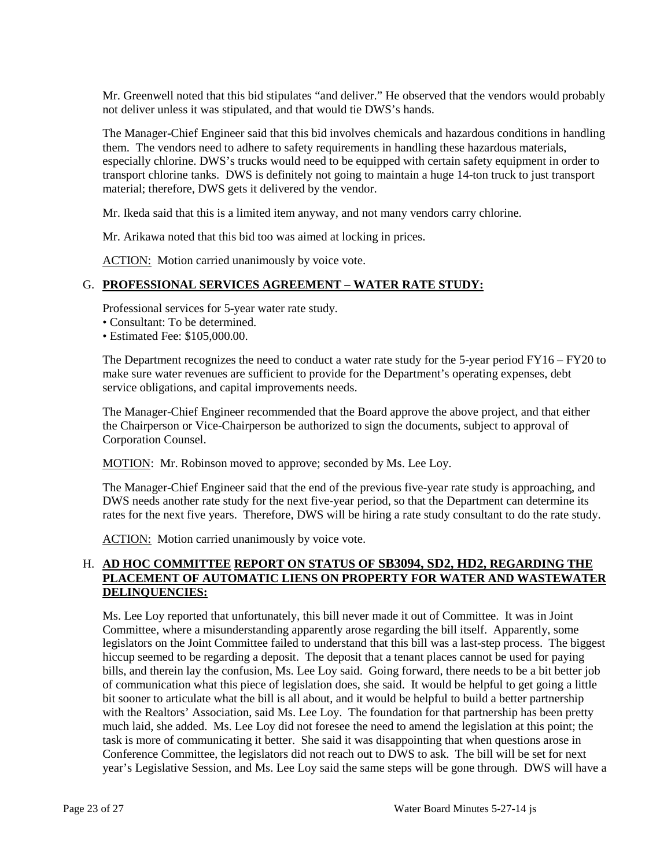Mr. Greenwell noted that this bid stipulates "and deliver." He observed that the vendors would probably not deliver unless it was stipulated, and that would tie DWS's hands.

The Manager-Chief Engineer said that this bid involves chemicals and hazardous conditions in handling them. The vendors need to adhere to safety requirements in handling these hazardous materials, especially chlorine. DWS's trucks would need to be equipped with certain safety equipment in order to transport chlorine tanks. DWS is definitely not going to maintain a huge 14-ton truck to just transport material; therefore, DWS gets it delivered by the vendor.

Mr. Ikeda said that this is a limited item anyway, and not many vendors carry chlorine.

Mr. Arikawa noted that this bid too was aimed at locking in prices.

ACTION: Motion carried unanimously by voice vote.

### G. **PROFESSIONAL SERVICES AGREEMENT – WATER RATE STUDY:**

Professional services for 5-year water rate study.

- Consultant: To be determined.
- Estimated Fee: \$105,000.00.

The Department recognizes the need to conduct a water rate study for the 5-year period FY16 – FY20 to make sure water revenues are sufficient to provide for the Department's operating expenses, debt service obligations, and capital improvements needs.

The Manager-Chief Engineer recommended that the Board approve the above project, and that either the Chairperson or Vice-Chairperson be authorized to sign the documents, subject to approval of Corporation Counsel.

MOTION: Mr. Robinson moved to approve; seconded by Ms. Lee Loy.

The Manager-Chief Engineer said that the end of the previous five-year rate study is approaching, and DWS needs another rate study for the next five-year period, so that the Department can determine its rates for the next five years. Therefore, DWS will be hiring a rate study consultant to do the rate study.

ACTION: Motion carried unanimously by voice vote.

### H. **AD HOC COMMITTEE REPORT ON STATUS OF SB3094, SD2, HD2, REGARDING THE PLACEMENT OF AUTOMATIC LIENS ON PROPERTY FOR WATER AND WASTEWATER DELINQUENCIES:**

Ms. Lee Loy reported that unfortunately, this bill never made it out of Committee. It was in Joint Committee, where a misunderstanding apparently arose regarding the bill itself. Apparently, some legislators on the Joint Committee failed to understand that this bill was a last-step process. The biggest hiccup seemed to be regarding a deposit. The deposit that a tenant places cannot be used for paying bills, and therein lay the confusion, Ms. Lee Loy said. Going forward, there needs to be a bit better job of communication what this piece of legislation does, she said. It would be helpful to get going a little bit sooner to articulate what the bill is all about, and it would be helpful to build a better partnership with the Realtors' Association, said Ms. Lee Loy. The foundation for that partnership has been pretty much laid, she added. Ms. Lee Loy did not foresee the need to amend the legislation at this point; the task is more of communicating it better. She said it was disappointing that when questions arose in Conference Committee, the legislators did not reach out to DWS to ask. The bill will be set for next year's Legislative Session, and Ms. Lee Loy said the same steps will be gone through. DWS will have a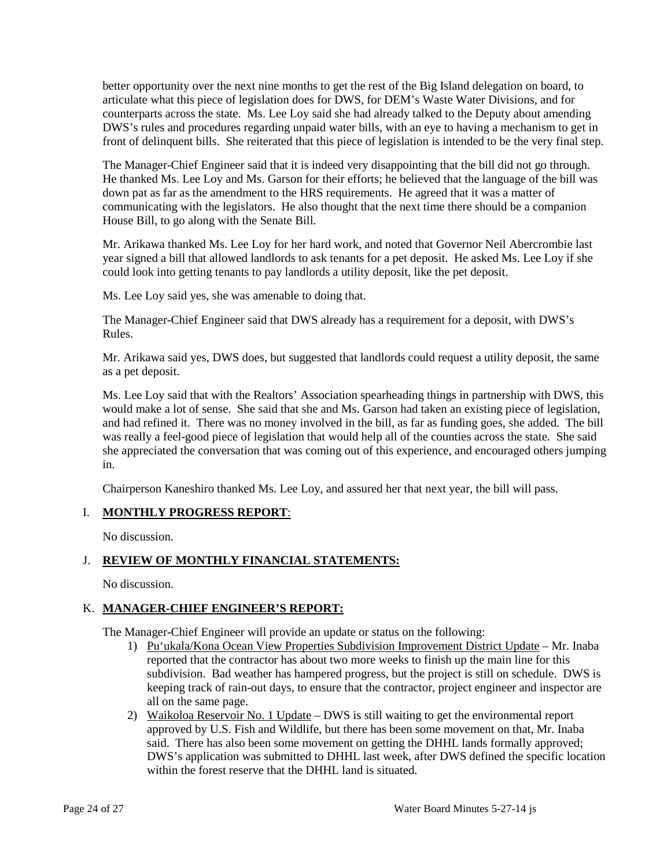better opportunity over the next nine months to get the rest of the Big Island delegation on board, to articulate what this piece of legislation does for DWS, for DEM's Waste Water Divisions, and for counterparts across the state. Ms. Lee Loy said she had already talked to the Deputy about amending DWS's rules and procedures regarding unpaid water bills, with an eye to having a mechanism to get in front of delinquent bills. She reiterated that this piece of legislation is intended to be the very final step.

The Manager-Chief Engineer said that it is indeed very disappointing that the bill did not go through. He thanked Ms. Lee Loy and Ms. Garson for their efforts; he believed that the language of the bill was down pat as far as the amendment to the HRS requirements. He agreed that it was a matter of communicating with the legislators. He also thought that the next time there should be a companion House Bill, to go along with the Senate Bill.

Mr. Arikawa thanked Ms. Lee Loy for her hard work, and noted that Governor Neil Abercrombie last year signed a bill that allowed landlords to ask tenants for a pet deposit. He asked Ms. Lee Loy if she could look into getting tenants to pay landlords a utility deposit, like the pet deposit.

Ms. Lee Loy said yes, she was amenable to doing that.

The Manager-Chief Engineer said that DWS already has a requirement for a deposit, with DWS's Rules.

Mr. Arikawa said yes, DWS does, but suggested that landlords could request a utility deposit, the same as a pet deposit.

Ms. Lee Loy said that with the Realtors' Association spearheading things in partnership with DWS, this would make a lot of sense. She said that she and Ms. Garson had taken an existing piece of legislation, and had refined it. There was no money involved in the bill, as far as funding goes, she added. The bill was really a feel-good piece of legislation that would help all of the counties across the state. She said she appreciated the conversation that was coming out of this experience, and encouraged others jumping in.

Chairperson Kaneshiro thanked Ms. Lee Loy, and assured her that next year, the bill will pass.

# I. **MONTHLY PROGRESS REPORT**:

No discussion.

# J. **REVIEW OF MONTHLY FINANCIAL STATEMENTS:**

No discussion.

# K. **MANAGER-CHIEF ENGINEER'S REPORT:**

The Manager-Chief Engineer will provide an update or status on the following:

- 1) Pu'ukala/Kona Ocean View Properties Subdivision Improvement District Update Mr. Inaba reported that the contractor has about two more weeks to finish up the main line for this subdivision. Bad weather has hampered progress, but the project is still on schedule. DWS is keeping track of rain-out days, to ensure that the contractor, project engineer and inspector are all on the same page.
- 2) Waikoloa Reservoir No. 1 Update DWS is still waiting to get the environmental report approved by U.S. Fish and Wildlife, but there has been some movement on that, Mr. Inaba said. There has also been some movement on getting the DHHL lands formally approved; DWS's application was submitted to DHHL last week, after DWS defined the specific location within the forest reserve that the DHHL land is situated.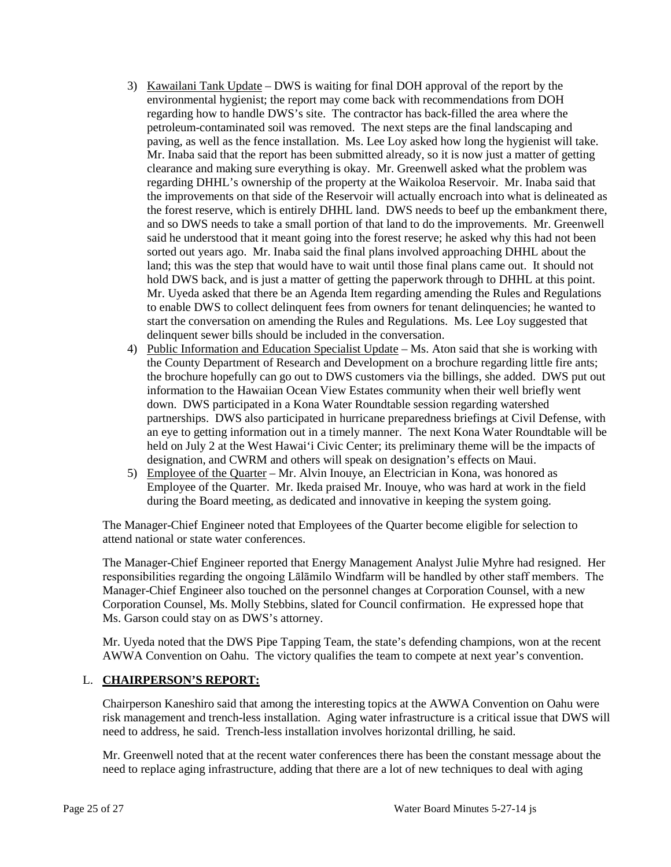- 3) Kawailani Tank Update DWS is waiting for final DOH approval of the report by the environmental hygienist; the report may come back with recommendations from DOH regarding how to handle DWS's site. The contractor has back-filled the area where the petroleum-contaminated soil was removed. The next steps are the final landscaping and paving, as well as the fence installation. Ms. Lee Loy asked how long the hygienist will take. Mr. Inaba said that the report has been submitted already, so it is now just a matter of getting clearance and making sure everything is okay. Mr. Greenwell asked what the problem was regarding DHHL's ownership of the property at the Waikoloa Reservoir. Mr. Inaba said that the improvements on that side of the Reservoir will actually encroach into what is delineated as the forest reserve, which is entirely DHHL land. DWS needs to beef up the embankment there, and so DWS needs to take a small portion of that land to do the improvements. Mr. Greenwell said he understood that it meant going into the forest reserve; he asked why this had not been sorted out years ago. Mr. Inaba said the final plans involved approaching DHHL about the land; this was the step that would have to wait until those final plans came out. It should not hold DWS back, and is just a matter of getting the paperwork through to DHHL at this point. Mr. Uyeda asked that there be an Agenda Item regarding amending the Rules and Regulations to enable DWS to collect delinquent fees from owners for tenant delinquencies; he wanted to start the conversation on amending the Rules and Regulations. Ms. Lee Loy suggested that delinquent sewer bills should be included in the conversation.
- 4) Public Information and Education Specialist Update Ms. Aton said that she is working with the County Department of Research and Development on a brochure regarding little fire ants; the brochure hopefully can go out to DWS customers via the billings, she added. DWS put out information to the Hawaiian Ocean View Estates community when their well briefly went down. DWS participated in a Kona Water Roundtable session regarding watershed partnerships. DWS also participated in hurricane preparedness briefings at Civil Defense, with an eye to getting information out in a timely manner. The next Kona Water Roundtable will be held on July 2 at the West Hawai'i Civic Center; its preliminary theme will be the impacts of designation, and CWRM and others will speak on designation's effects on Maui.
- 5) Employee of the Quarter Mr. Alvin Inouye, an Electrician in Kona, was honored as Employee of the Quarter. Mr. Ikeda praised Mr. Inouye, who was hard at work in the field during the Board meeting, as dedicated and innovative in keeping the system going.

The Manager-Chief Engineer noted that Employees of the Quarter become eligible for selection to attend national or state water conferences.

The Manager-Chief Engineer reported that Energy Management Analyst Julie Myhre had resigned. Her responsibilities regarding the ongoing Lālāmilo Windfarm will be handled by other staff members. The Manager-Chief Engineer also touched on the personnel changes at Corporation Counsel, with a new Corporation Counsel, Ms. Molly Stebbins, slated for Council confirmation. He expressed hope that Ms. Garson could stay on as DWS's attorney.

Mr. Uyeda noted that the DWS Pipe Tapping Team, the state's defending champions, won at the recent AWWA Convention on Oahu. The victory qualifies the team to compete at next year's convention.

### L. **CHAIRPERSON'S REPORT:**

Chairperson Kaneshiro said that among the interesting topics at the AWWA Convention on Oahu were risk management and trench-less installation. Aging water infrastructure is a critical issue that DWS will need to address, he said. Trench-less installation involves horizontal drilling, he said.

Mr. Greenwell noted that at the recent water conferences there has been the constant message about the need to replace aging infrastructure, adding that there are a lot of new techniques to deal with aging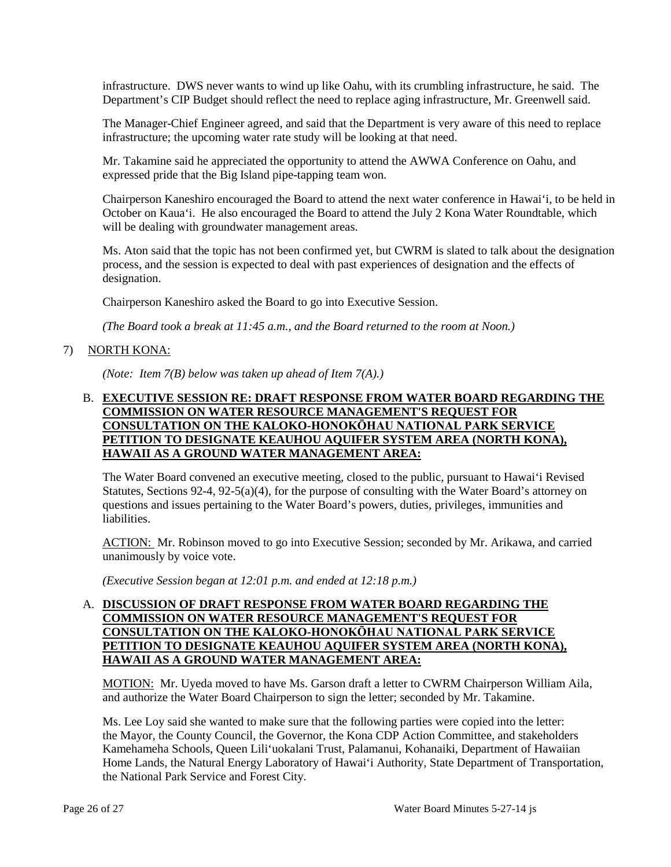infrastructure. DWS never wants to wind up like Oahu, with its crumbling infrastructure, he said. The Department's CIP Budget should reflect the need to replace aging infrastructure, Mr. Greenwell said.

The Manager-Chief Engineer agreed, and said that the Department is very aware of this need to replace infrastructure; the upcoming water rate study will be looking at that need.

Mr. Takamine said he appreciated the opportunity to attend the AWWA Conference on Oahu, and expressed pride that the Big Island pipe-tapping team won.

Chairperson Kaneshiro encouraged the Board to attend the next water conference in Hawai'i, to be held in October on Kaua'i. He also encouraged the Board to attend the July 2 Kona Water Roundtable, which will be dealing with groundwater management areas.

Ms. Aton said that the topic has not been confirmed yet, but CWRM is slated to talk about the designation process, and the session is expected to deal with past experiences of designation and the effects of designation.

Chairperson Kaneshiro asked the Board to go into Executive Session.

*(The Board took a break at 11:45 a.m., and the Board returned to the room at Noon.)*

## 7) NORTH KONA:

*(Note: Item 7(B) below was taken up ahead of Item 7(A).)*

### B. **EXECUTIVE SESSION RE: DRAFT RESPONSE FROM WATER BOARD REGARDING THE COMMISSION ON WATER RESOURCE MANAGEMENT'S REQUEST FOR CONSULTATION ON THE KALOKO-HONOKŌHAU NATIONAL PARK SERVICE PETITION TO DESIGNATE KEAUHOU AQUIFER SYSTEM AREA (NORTH KONA), HAWAII AS A GROUND WATER MANAGEMENT AREA:**

The Water Board convened an executive meeting, closed to the public, pursuant to Hawai'i Revised Statutes, Sections 92-4, 92-5(a)(4), for the purpose of consulting with the Water Board's attorney on questions and issues pertaining to the Water Board's powers, duties, privileges, immunities and liabilities.

ACTION: Mr. Robinson moved to go into Executive Session; seconded by Mr. Arikawa, and carried unanimously by voice vote.

*(Executive Session began at 12:01 p.m. and ended at 12:18 p.m.)*

# A. **DISCUSSION OF DRAFT RESPONSE FROM WATER BOARD REGARDING THE COMMISSION ON WATER RESOURCE MANAGEMENT'S REQUEST FOR CONSULTATION ON THE KALOKO-HONOKŌHAU NATIONAL PARK SERVICE PETITION TO DESIGNATE KEAUHOU AQUIFER SYSTEM AREA (NORTH KONA), HAWAII AS A GROUND WATER MANAGEMENT AREA:**

MOTION: Mr. Uyeda moved to have Ms. Garson draft a letter to CWRM Chairperson William Aila, and authorize the Water Board Chairperson to sign the letter; seconded by Mr. Takamine.

Ms. Lee Loy said she wanted to make sure that the following parties were copied into the letter: the Mayor, the County Council, the Governor, the Kona CDP Action Committee, and stakeholders Kamehameha Schools, Queen Lili'uokalani Trust, Palamanui, Kohanaiki, Department of Hawaiian Home Lands, the Natural Energy Laboratory of Hawai'i Authority, State Department of Transportation, the National Park Service and Forest City.